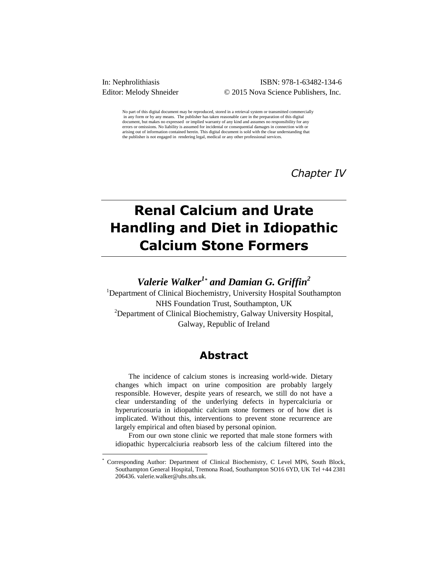$\overline{a}$ 

### In: Nephrolithiasis ISBN: 978-1-63482-134-6 Editor: Melody Shneider © 2015 Nova Science Publishers, Inc.

No part of this digital document may be reproduced, stored in a retrieval system or transmitted commercially in any form or by any means. The publisher has taken reasonable care in the preparation of this digital document, but makes no expressed or implied warranty of any kind and assumes no responsibility for any<br>document, but makes no expressed or implied warranty of any kind and assumes no responsibility for any errors or omissions. No liability is assumed for incidental or consequential damages in connection with or arising out of information contained herein. This digital document is sold with the clear understanding that the publisher is not engaged in rendering legal, medical or any other professional services.

*Chapter IV*

# **Renal Calcium and Urate Handling and Diet in Idiopathic Calcium Stone Formers**

*Valerie Walker<sup>1</sup>\* and Damian G. Griffin<sup>2</sup>*

<sup>1</sup>Department of Clinical Biochemistry, University Hospital Southampton NHS Foundation Trust, Southampton, UK <sup>2</sup>Department of Clinical Biochemistry, Galway University Hospital, Galway, Republic of Ireland

# **Abstract**

The incidence of calcium stones is increasing world-wide. Dietary changes which impact on urine composition are probably largely responsible. However, despite years of research, we still do not have a clear understanding of the underlying defects in hypercalciuria or hyperuricosuria in idiopathic calcium stone formers or of how diet is implicated. Without this, interventions to prevent stone recurrence are largely empirical and often biased by personal opinion.

From our own stone clinic we reported that male stone formers with idiopathic hypercalciuria reabsorb less of the calcium filtered into the

<sup>\*</sup> Corresponding Author: Department of Clinical Biochemistry, C Level MP6, South Block, Southampton General Hospital, Tremona Road, Southampton SO16 6YD, UK Tel +44 2381 206436. valerie.walker@uhs.nhs.uk.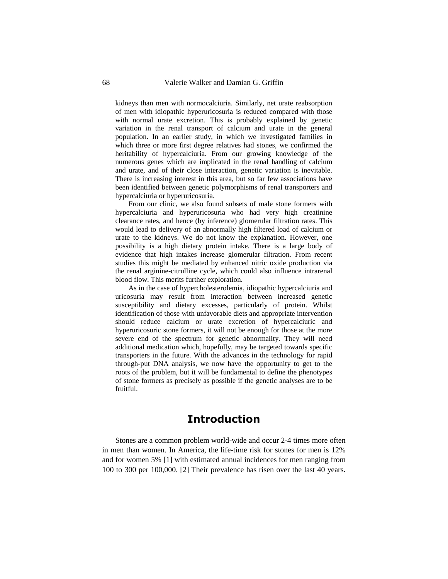kidneys than men with normocalciuria. Similarly, net urate reabsorption of men with idiopathic hyperuricosuria is reduced compared with those with normal urate excretion. This is probably explained by genetic variation in the renal transport of calcium and urate in the general population. In an earlier study, in which we investigated families in which three or more first degree relatives had stones, we confirmed the heritability of hypercalciuria. From our growing knowledge of the numerous genes which are implicated in the renal handling of calcium and urate, and of their close interaction, genetic variation is inevitable. There is increasing interest in this area, but so far few associations have been identified between genetic polymorphisms of renal transporters and hypercalciuria or hyperuricosuria.

From our clinic, we also found subsets of male stone formers with hypercalciuria and hyperuricosuria who had very high creatinine clearance rates, and hence (by inference) glomerular filtration rates. This would lead to delivery of an abnormally high filtered load of calcium or urate to the kidneys. We do not know the explanation. However, one possibility is a high dietary protein intake. There is a large body of evidence that high intakes increase glomerular filtration. From recent studies this might be mediated by enhanced nitric oxide production via the renal arginine-citrulline cycle, which could also influence intrarenal blood flow. This merits further exploration.

As in the case of hypercholesterolemia, idiopathic hypercalciuria and uricosuria may result from interaction between increased genetic susceptibility and dietary excesses, particularly of protein. Whilst identification of those with unfavorable diets and appropriate intervention should reduce calcium or urate excretion of hypercalciuric and hyperuricosuric stone formers, it will not be enough for those at the more severe end of the spectrum for genetic abnormality. They will need additional medication which, hopefully, may be targeted towards specific transporters in the future. With the advances in the technology for rapid through-put DNA analysis, we now have the opportunity to get to the roots of the problem, but it will be fundamental to define the phenotypes of stone formers as precisely as possible if the genetic analyses are to be fruitful.

# **Introduction**

Stones are a common problem world-wide and occur 2-4 times more often in men than women. In America, the life-time risk for stones for men is 12% and for women 5% [1] with estimated annual incidences for men ranging from 100 to 300 per 100,000. [2] Their prevalence has risen over the last 40 years.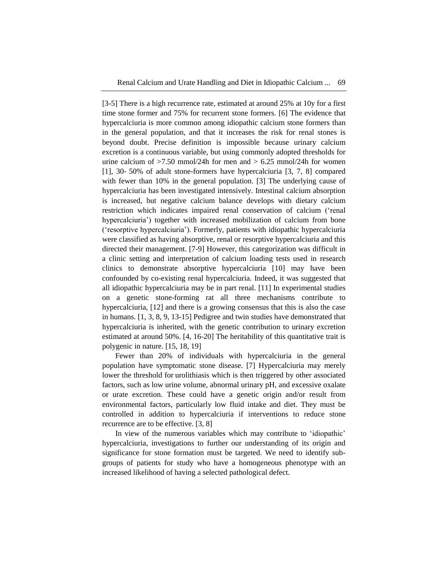[3-5] There is a high recurrence rate, estimated at around 25% at 10y for a first time stone former and 75% for recurrent stone formers. [6] The evidence that hypercalciuria is more common among idiopathic calcium stone formers than in the general population, and that it increases the risk for renal stones is beyond doubt. Precise definition is impossible because urinary calcium excretion is a continuous variable, but using commonly adopted thresholds for urine calcium of  $>7.50$  mmol/24h for men and  $> 6.25$  mmol/24h for women [1], 30- 50% of adult stone-formers have hypercalciuria [3, 7, 8] compared with fewer than 10% in the general population. [3] The underlying cause of hypercalciuria has been investigated intensively. Intestinal calcium absorption is increased, but negative calcium balance develops with dietary calcium restriction which indicates impaired renal conservation of calcium ('renal hypercalciuria') together with increased mobilization of calcium from bone (‗resorptive hypercalciuria'). Formerly, patients with idiopathic hypercalciuria were classified as having absorptive, renal or resorptive hypercalciuria and this directed their management. [7-9] However, this categorization was difficult in a clinic setting and interpretation of calcium loading tests used in research clinics to demonstrate absorptive hypercalciuria [10] may have been confounded by co-existing renal hypercalciuria. Indeed, it was suggested that all idiopathic hypercalciuria may be in part renal. [11] In experimental studies on a genetic stone-forming rat all three mechanisms contribute to hypercalciuria, [12] and there is a growing consensus that this is also the case in humans. [1, 3, 8, 9, 13-15] Pedigree and twin studies have demonstrated that hypercalciuria is inherited, with the genetic contribution to urinary excretion estimated at around 50%. [4, 16-20] The heritability of this quantitative trait is polygenic in nature. [15, 18, 19]

Fewer than 20% of individuals with hypercalciuria in the general population have symptomatic stone disease. [7] Hypercalciuria may merely lower the threshold for urolithiasis which is then triggered by other associated factors, such as low urine volume, abnormal urinary pH, and excessive oxalate or urate excretion. These could have a genetic origin and/or result from environmental factors, particularly low fluid intake and diet. They must be controlled in addition to hypercalciuria if interventions to reduce stone recurrence are to be effective. [3, 8]

In view of the numerous variables which may contribute to 'idiopathic' hypercalciuria, investigations to further our understanding of its origin and significance for stone formation must be targeted. We need to identify subgroups of patients for study who have a homogeneous phenotype with an increased likelihood of having a selected pathological defect.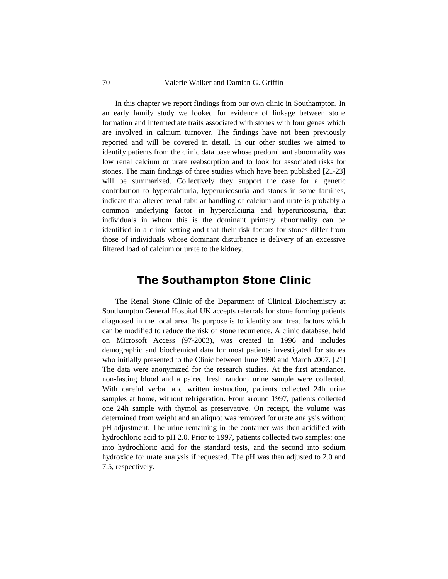In this chapter we report findings from our own clinic in Southampton. In an early family study we looked for evidence of linkage between stone formation and intermediate traits associated with stones with four genes which are involved in calcium turnover. The findings have not been previously reported and will be covered in detail. In our other studies we aimed to identify patients from the clinic data base whose predominant abnormality was low renal calcium or urate reabsorption and to look for associated risks for stones. The main findings of three studies which have been published [21-23] will be summarized. Collectively they support the case for a genetic contribution to hypercalciuria, hyperuricosuria and stones in some families, indicate that altered renal tubular handling of calcium and urate is probably a common underlying factor in hypercalciuria and hyperuricosuria, that individuals in whom this is the dominant primary abnormality can be identified in a clinic setting and that their risk factors for stones differ from those of individuals whose dominant disturbance is delivery of an excessive filtered load of calcium or urate to the kidney.

# **The Southampton Stone Clinic**

The Renal Stone Clinic of the Department of Clinical Biochemistry at Southampton General Hospital UK accepts referrals for stone forming patients diagnosed in the local area. Its purpose is to identify and treat factors which can be modified to reduce the risk of stone recurrence. A clinic database, held on Microsoft Access (97-2003), was created in 1996 and includes demographic and biochemical data for most patients investigated for stones who initially presented to the Clinic between June 1990 and March 2007. [21] The data were anonymized for the research studies. At the first attendance, non-fasting blood and a paired fresh random urine sample were collected. With careful verbal and written instruction, patients collected 24h urine samples at home, without refrigeration. From around 1997, patients collected one 24h sample with thymol as preservative. On receipt, the volume was determined from weight and an aliquot was removed for urate analysis without pH adjustment. The urine remaining in the container was then acidified with hydrochloric acid to pH 2.0. Prior to 1997, patients collected two samples: one into hydrochloric acid for the standard tests, and the second into sodium hydroxide for urate analysis if requested. The pH was then adjusted to 2.0 and 7.5, respectively.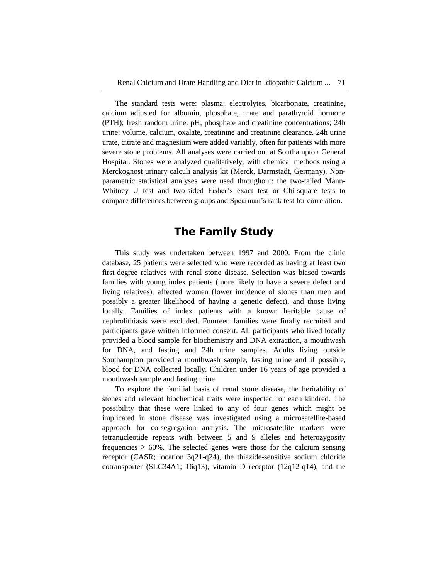The standard tests were: plasma: electrolytes, bicarbonate, creatinine, calcium adjusted for albumin, phosphate, urate and parathyroid hormone (PTH); fresh random urine: pH, phosphate and creatinine concentrations; 24h urine: volume, calcium, oxalate, creatinine and creatinine clearance. 24h urine urate, citrate and magnesium were added variably, often for patients with more severe stone problems. All analyses were carried out at Southampton General Hospital. Stones were analyzed qualitatively, with chemical methods using a Merckognost urinary calculi analysis kit (Merck, Darmstadt, Germany). Nonparametric statistical analyses were used throughout: the two-tailed Mann-Whitney U test and two-sided Fisher's exact test or Chi-square tests to compare differences between groups and Spearman's rank test for correlation.

# **The Family Study**

This study was undertaken between 1997 and 2000. From the clinic database, 25 patients were selected who were recorded as having at least two first-degree relatives with renal stone disease. Selection was biased towards families with young index patients (more likely to have a severe defect and living relatives), affected women (lower incidence of stones than men and possibly a greater likelihood of having a genetic defect), and those living locally. Families of index patients with a known heritable cause of nephrolithiasis were excluded. Fourteen families were finally recruited and participants gave written informed consent. All participants who lived locally provided a blood sample for biochemistry and DNA extraction, a mouthwash for DNA, and fasting and 24h urine samples. Adults living outside Southampton provided a mouthwash sample, fasting urine and if possible, blood for DNA collected locally. Children under 16 years of age provided a mouthwash sample and fasting urine.

To explore the familial basis of renal stone disease, the heritability of stones and relevant biochemical traits were inspected for each kindred. The possibility that these were linked to any of four genes which might be implicated in stone disease was investigated using a microsatellite-based approach for co-segregation analysis. The microsatellite markers were tetranucleotide repeats with between 5 and 9 alleles and heterozygosity frequencies  $\geq 60\%$ . The selected genes were those for the calcium sensing receptor (CASR; location 3q21-q24), the thiazide-sensitive sodium chloride cotransporter (SLC34A1; 16q13), vitamin D receptor (12q12-q14), and the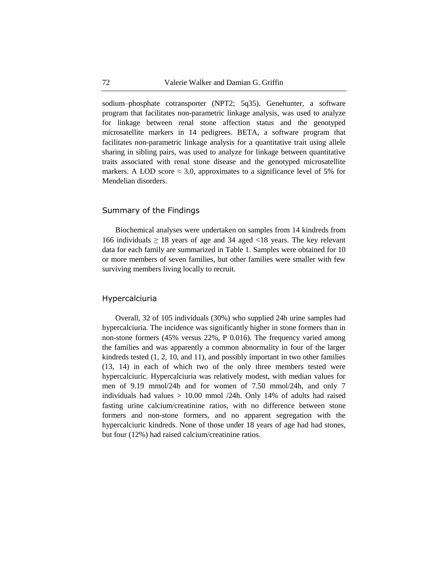sodium–phosphate cotransporter (NPT2; 5q35). Genehunter, a software program that facilitates non-parametric linkage analysis, was used to analyze for linkage between renal stone affection status and the genotyped microsatellite markers in 14 pedigrees. BETA, a software program that facilitates non-parametric linkage analysis for a quantitative trait using allele sharing in sibling pairs, was used to analyze for linkage between quantitative traits associated with renal stone disease and the genotyped microsatellite markers. A LOD score  $\approx$  3.0, approximates to a significance level of 5% for Mendelian disorders.

### Summary of the Findings

Biochemical analyses were undertaken on samples from 14 kindreds from 166 individuals  $\geq 18$  years of age and 34 aged <18 years. The key relevant data for each family are summarized in Table 1. Samples were obtained for 10 or more members of seven families, but other families were smaller with few surviving members living locally to recruit.

### Hypercalciuria

Overall, 32 of 105 individuals (30%) who supplied 24h urine samples had hypercalciuria. The incidence was significantly higher in stone formers than in non-stone formers (45% versus 22%, P 0.016). The frequency varied among the families and was apparently a common abnormality in four of the larger kindreds tested (1, 2, 10, and 11), and possibly important in two other families (13, 14) in each of which two of the only three members tested were hypercalciuric. Hypercalciuria was relatively modest, with median values for men of 9.19 mmol/24h and for women of 7.50 mmol/24h, and only 7 individuals had values  $> 10.00$  mmol  $/24$ h. Only 14% of adults had raised fasting urine calcium/creatinine ratios, with no difference between stone formers and non-stone formers, and no apparent segregation with the hypercalciuric kindreds. None of those under 18 years of age had had stones, but four (12%) had raised calcium/creatinine ratios.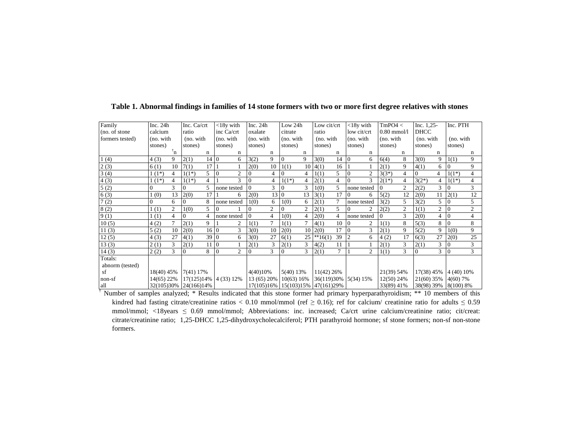| Family          | Inc. $24h$            |               | Inc. Ca/crt |      | $<$ 18 $v$ with                  | Inc. $24h$ |             | Low 24h    |                | Low cit/crt          |                | $<$ 18 $v$ with |                | TmPO4 <       |                | $Inc. 1, 25-$ |                | Inc. PTH             |                |
|-----------------|-----------------------|---------------|-------------|------|----------------------------------|------------|-------------|------------|----------------|----------------------|----------------|-----------------|----------------|---------------|----------------|---------------|----------------|----------------------|----------------|
| (no. of stone)  | calcium               |               | ratio       |      | inc Ca/crt                       | oxalate    |             | citrate    |                | ratio                |                | low cit/crt     |                | $0.80$ mmol/l |                | <b>DHCC</b>   |                |                      |                |
| formers tested) | (no. with             |               | (no. with   |      | (no. with                        | (no. with  |             | (no. with  |                | (no. with            |                | (no. with       |                | (no. with     |                | (no. with     |                | (no. with            |                |
|                 | stones)               |               | stones)     |      | stones)                          | stones)    |             | stones)    |                | stones)              |                | stones)         |                | stones)       |                | stones)       |                | stones)              |                |
|                 |                       | $n^{\dagger}$ |             | n    | n                                |            | n           |            | n              |                      | n              |                 | n              |               | n              |               | n              |                      | n              |
| 1(4)            | 4(3)                  | 9             | 2(1)        | 14 0 | 6                                | 3(2)       | 9           | $\Omega$   | $\mathbf Q$    | 3(0)                 | 14             | $\overline{0}$  | 6              | 6(4)          | 8              | 3(0)          | 9              | 1(1)                 | 9              |
| 2(3)            | 6(1)                  | 10            | 7(1)        | 17   |                                  | 2(0)       | 10          | 1(1)       | 10             | 4(1)                 | 16             |                 |                | 2(1)          | 9              | 4(1)          | 6              | 0                    | 9              |
| 3(4)            | $1(1^*)$              | 4             | $1(1^*)$    | 5    | $\overline{0}$<br>$\overline{c}$ |            | 4           | $\Omega$   | 4              | 1(1)                 | 5              | $\Omega$        | $\overline{c}$ | $3(3^*)$      | 4              | $\Omega$      | $\overline{4}$ | $1(1^*)$             | 4              |
| 4(3)            | $(1^*)$               | 4             | $1(1^*)$    | 4    | 3                                |            | 4           | $1(1^*)$   | 4              | 2(1)                 | $\overline{4}$ | 10              | 3              | $2(1^*)$      | 4              | $3(2^*)$      | $\overline{4}$ | $1(1^*)$             | 4              |
| 5(2)            | $\Omega$              | $\mathcal{F}$ |             |      | none tested                      |            | 3           | $\Omega$   | 3              | 1(0)                 | 5              | none tested     |                |               | $\overline{c}$ | 2(2)          | 3              |                      | 3              |
| 6(3)            | (0)                   | 13            | 2(0)        | 17   | 6                                | 2(0)       | 13 0        |            | 13             | 3(1)                 | 17             | $\overline{0}$  | 6              | 5(2)          | 12             | 2(0)          | 11             | 2(1)                 | 12             |
| 7(2)            |                       | 6             | 0           | 8    | none tested                      | 1(0)       | 6           | 1(0)       | 6              | 2(1)                 |                | none tested     |                | 3(2)          | 5              | 3(2)          | 5              |                      | 5              |
| 8(2)            | (1)                   | 2             | 1(0)        | 5    | $\Omega$                         |            | 2           | $\Omega$   | $\overline{c}$ | 2(1)                 | 5              | $\Omega$        | $\overline{c}$ | 2(2)          | $\overline{c}$ | 1(1)          | 2              |                      | $\overline{c}$ |
| 9(1)            | 1(1)                  | 4             | 0           | 4    | none tested                      |            | 4           | 1(0)       | 4              | 2(0)                 | $\overline{4}$ | none tested     |                | $\theta$      | 3              | 2(0)          |                | $\Omega$             | 4              |
| 10(5)           | 4(2)                  | $\mathcal{I}$ | 2(1)        | 9    | $\overline{c}$                   | 1(1)       | $\tau$      | 1(1)       | $\tau$         | 4(1)                 | 10             | 10              | 2              | 1(1)          | 8              | 5(3)          | 8              | $\Omega$             | 8              |
| 11(3)           | 5(2)                  | 10            | 2(0)        | 16 0 | $\mathbf{3}$                     | 3(0)       | 10          | 2(0)       | 10             | 2(0)                 | 17             | $\Omega$        | 3              | 2(1)          | 9              | 5(2)          | 9              | 1(0)                 | 9              |
| 12(5)           | 4(3)                  | 27            | 4(1)        | 39 0 | 6                                | 3(0)       | 27          | 6(1)       | 25             | $*16(1)$             | 39             |                 | 6              | 4(2)          | 17             | 6(3)          | 27             | 2(0)                 | 25             |
| 13(3)           | 2(1)                  | 3             | 2(1)        | 11   | $\overline{0}$                   | 2(1)       | 3           | 2(1)       | 3              | 4(2)                 | 11             |                 |                | 2(1)          | 3              | 2(1)          | 3              |                      | 3              |
| 14(3)           | 2(2)                  | 3             | 0           | 8    | $\overline{2}$<br>$\overline{0}$ |            | 3           | $\Omega$   | 3              | 2(1)                 | 7              |                 | $\overline{2}$ | 1(1)          | 3              | $\Omega$      | 3              |                      | $\overline{3}$ |
| Totals:         |                       |               |             |      |                                  |            |             |            |                |                      |                |                 |                |               |                |               |                |                      |                |
| abnorm (tested) |                       |               |             |      |                                  |            |             |            |                |                      |                |                 |                |               |                |               |                |                      |                |
| sf              | 18(40) 45%            |               | 7(41) 17%   |      |                                  | 4(40)10%   |             | 5(40) 13%  |                | 11(42) 26%           |                |                 |                | 21(39) 54%    |                | 17(38) 45%    |                | 4 (40) 10%           |                |
| non-sf          | 14(65) 22%            |               |             |      | 17(125)14% 4 (33) 12%            |            | 13 (65) 20% | 10(63) 16% |                | 36(119)30% 5(34) 15% |                |                 |                | 12(50) 24%    |                |               |                | 21(60) 35% 4(60) 7%  |                |
| all             | 32(105)30% 24(166)14% |               |             |      |                                  |            | 17(105)16%  | 15(103)15% |                | 47(161)29%           |                |                 |                | 33(89) 41%    |                |               |                | 38(98) 39% 8(100) 8% |                |

### Table 1. Abnormal findings in families of 14 stone formers with two or more first degree relatives with stones

† Number of samples analyzed; \* Results indicated that this stone former had primary hyperparathyroidism; \*\* 10 members of this kindred had fasting citrate/creatinine ratios < 0.10 mmol/mmol (ref  $\geq$  0.16); ref for calcium/ creatinine ratio for adults  $\leq$  0.59 mmol/mmol; <18years ≤ 0.69 mmol/mmol; Abbreviations: inc. increased; Ca/crt urine calcium/creatinine ratio; cit/creat: citrate/creatinine ratio; 1,25-DHCC 1,25-dihydroxycholecalciferol; PTH parathyroid hormone; sf stone formers; non-sf non-stone formers.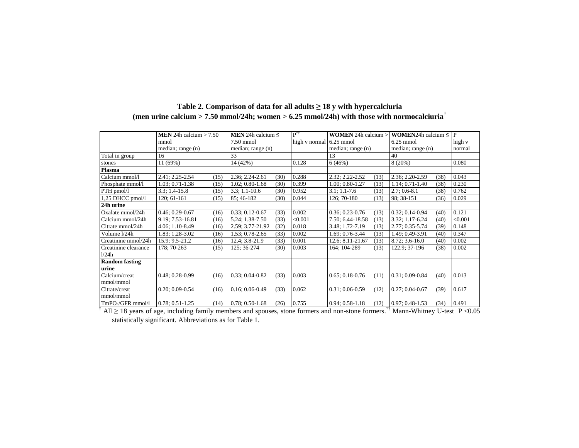|                                    | <b>MEN</b> 24h calcium $> 7.50$                   | <b>MEN</b> 24h calcium $\leq$ | $\mathbf{P}^{\dagger\dagger}$ | <b>WOMEN</b> 24h calcium $>$ | <b>WOMEN24h</b> calcium $\leq$                                                     | $\mathbf{P}$ |
|------------------------------------|---------------------------------------------------|-------------------------------|-------------------------------|------------------------------|------------------------------------------------------------------------------------|--------------|
|                                    | mmol                                              | $7.50$ mmol                   | high v normal $6.25$ mmol     |                              | $6.25$ mmol                                                                        | high v       |
|                                    | median; range (n)                                 | median; range $(n)$           | median; range (n)             |                              | median; range (n)                                                                  | normal       |
| Total in group                     | 16                                                | 33                            |                               | 13                           | 40                                                                                 |              |
| stones                             | 11(69%)                                           | 14 (42%)                      | 0.128                         | 6(46%)                       | 8(20%)                                                                             | 0.080        |
| Plasma                             |                                                   |                               |                               |                              |                                                                                    |              |
| Calcium mmol/l                     | 2.41; 2.25-2.54<br>(15)                           | 2.36; 2.24-2.61<br>(30)       | 0.288                         | 2.32; 2.22-2.52<br>(13)      | 2.36; 2.20-2.59<br>(38)                                                            | 0.043        |
| Phosphate mmol/l                   | $1.03; 0.71 - 1.38$<br>(15)                       | $1.02; 0.80-1.68$<br>(30)     | 0.399                         | $1.00; 0.80-1.27$<br>(13)    | 1.14; 0.71-1.40<br>(38)                                                            | 0.230        |
| $PTH$ pmol/l                       | $3.3:1.4-15.8$<br>(15)                            | $3.3$ ; 1.1-10.6<br>(30)      | 0.952                         | $3.1; 1.1 - 7.6$<br>(13)     | $2.7:0.6-8.1$<br>(38)                                                              | 0.762        |
| 1,25 DHCC pmol/l                   | $120:61-161$<br>(15)                              | 85:46-182<br>(30)             | 0.044                         | 126; 70-180<br>(13)          | 98: 38-151<br>(36)                                                                 | 0.029        |
| 24h urine                          |                                                   |                               |                               |                              |                                                                                    |              |
| Oxalate mmol/24h                   | $0.46:0.29-0.67$<br>(16)                          | $0.33; 0.12 - 0.67$<br>(33)   | 0.002                         | $0.36; 0.23-0.76$<br>(13)    | $0.32; 0.14 - 0.94$<br>(40)                                                        | 0.121        |
| Calcium mmol/24h                   | 9.19: 7.53-16.81<br>(16)                          | 5.24; 1.38-7.50<br>(33)       | < 0.001                       | 7.50; 6.44-18.58<br>(13)     | 3.32; 1.17-6.24<br>(40)                                                            | < 0.001      |
| Citrate mmol/24h                   | 4.06; 1.10-8.49<br>(16)                           | 2.59; 3.77-21.92<br>(32)      | 0.018                         | 3.48; 1.72-7.19<br>(13)      | 2.77; 0.35-5.74<br>(39)                                                            | 0.148        |
| Volume 1/24h                       | 1.83; 1.28-3.02<br>(16)                           | (33)<br>$1.53: 0.78 - 2.65$   | 0.002                         | 1.69; 0.76-3.44<br>(13)      | 1.49; 0.49-3.91<br>(40)                                                            | 0.347        |
| Creatinine mmol/24h                | 15.9; 9.5-21.2<br>(16)                            | (33)<br>12.4; 3.8-21.9        | 0.001                         | 12.6; 8.11-21.67<br>(13)     | $8.72; 3.6-16.0$<br>(40)                                                           | 0.002        |
| Creatinine clearance               | 178: 70-263<br>(15)                               | 125; 36-274<br>(30)           | 0.003                         | 164; 104-289<br>(13)         | (38)<br>122.9; 37-196                                                              | 0.002        |
| 1/24h                              |                                                   |                               |                               |                              |                                                                                    |              |
| <b>Random fasting</b>              |                                                   |                               |                               |                              |                                                                                    |              |
| urine                              |                                                   |                               |                               |                              |                                                                                    |              |
| Calcium/creat                      | $0.48; 0.28 - 0.99$<br>(16)                       | $0.33; 0.04 - 0.82$<br>(33)   | 0.003                         | $0.65; 0.18 - 0.76$<br>(11)  | $0.31; 0.09 - 0.84$<br>(40)                                                        | 0.013        |
| mmol/mmol                          |                                                   |                               |                               |                              |                                                                                    |              |
| Citrate/creat                      | $0.20; 0.09 - 0.54$<br>(16)                       | $0.16; 0.06 - 0.49$<br>(33)   | 0.062                         | $0.31; 0.06 - 0.59$<br>(12)  | $0.27; 0.04 - 0.67$<br>(39)                                                        | 0.617        |
| mmol/mmol                          |                                                   |                               |                               |                              |                                                                                    |              |
| TmPO <sub>4</sub> /GFR mmol/l<br>÷ | $0.78; 0.51 - 1.25$<br>(14)<br>.<br>$\sim$ $\sim$ | $0.78; 0.50-1.68$<br>(26)     | 0.755                         | $0.94; 0.58-1.18$<br>(12)    | $0.97; 0.48-1.53$<br>(34)<br>$\mathcal{W}$ , $\mathcal{W}$ , $\mathcal{W}$<br>$ -$ | 0.491        |

## **Table 2. Comparison of data for all adults ≥ 18 y with hypercalciuria (men urine calcium**  $> 7.50$  **mmol/24h; women**  $> 6.25$  **mmol/24h)** with **those** with **normocalciuria**<sup>†</sup>

† All ≥ 18 years of age, including family members and spouses, stone formers and non-stone formers.<sup>††</sup> Mann-Whitney U-test P <0.05 statistically significant. Abbreviations as for Table 1.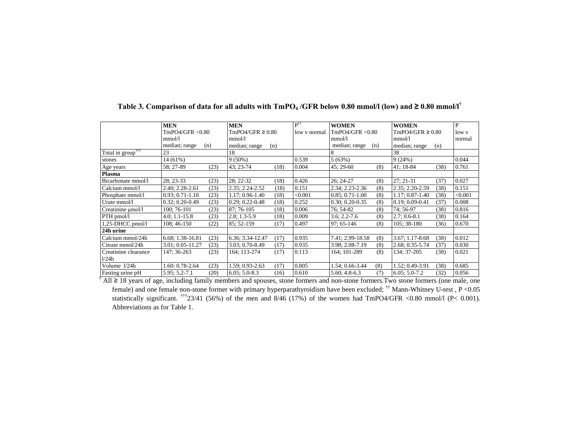|                               | <b>MEN</b>          |      | <b>MEN</b>          |                                       | $P^{\dagger\dagger}$ | <b>WOMEN</b>        |     | <b>WOMEN</b>          |      | P       |
|-------------------------------|---------------------|------|---------------------|---------------------------------------|----------------------|---------------------|-----|-----------------------|------|---------|
|                               | TmPO4/GFR < 0.80    |      |                     | TmPO4/GFR $\geq$ 0.80<br>low y normal |                      | TmPO4/GFR < 0.80    |     | TmPO4/GFR $\geq 0.80$ |      | low y   |
|                               | mmol/l              |      | mmol/l              |                                       |                      | mmol/l              |     | mmol/l                |      | normal  |
|                               | median; range       | (n)  | median; range       | (n)                                   |                      | median; range       | (n) | median; range         | (n)  |         |
| Total in group <sup>†††</sup> | 23                  |      | 18                  |                                       |                      | 8                   |     | 38                    |      |         |
| stones                        | 14 (61%)            |      | $9(50\%)$           |                                       | 0.539                | 5(63%)              |     | 9(24%)                |      | 0.044   |
| Age years                     | 58:27-89            | (23) | 43: 23-74           | (18)                                  | 0.004                | $45:29-60$          | (8) | 41: 18-84             | (38) | 0.761   |
| Plasma                        |                     |      |                     |                                       |                      |                     |     |                       |      |         |
| Bicarbonate mmol/l            | 28: 23-33           | (23) | 28; 22-32           | (18)                                  | 0.426                | $26:24-27$          | (8) | 27: 21-31             | (37) | 0.027   |
| Calcium mmol/l                | 2.40; 2.28-2.61     | (23) | 2.35; 2.24-2.52     | (18)                                  | 0.151                | 2.34; 2.23-2.36     | (8) | 2.35; 2.20-2.59       | (38) | 0.151   |
| Phosphate mmol/l              | $0.93; 0.71-1.10$   | (23) | 1.17: 0.96-1.40     | (18)                                  | < 0.001              | $0.85: 0.71-1.00$   | (8) | 1.17: 0.87-1.40       | (38) | < 0.001 |
| Urate mmol/l                  | $0.32; 0.20 - 0.49$ | (23) | $0.29; 0.22 - 0.48$ | (18)                                  | 0.252                | $0.30; 0.20 - 0.35$ | (8) | $0.19; 0.09 - 0.41$   | (37) | 0.008   |
| Creatinine umol/l             | 100; 76-101         | (23) | 87: 76-105          | (18)                                  | 0.006                | 76: 54-82           | (8) | 74: 56-97             | (38) | 0.816   |
| PTH pmol/l                    | $4.0; 1.1 - 15.8$   | (23) | $2.8; 1.3-5.9$      | (18)                                  | 0.009                | $3.6; 2.2 - 7.6$    | (8) | $2.7:0.6-8.1$         | (38) | 0.164   |
| 1,25-DHCC pmol/l              | 108:46-150          | (22) | 85: 52-159          | (17)                                  | 0.497                | 97: 65-146          | (8) | 105; 38-180           | (36) | 0.670   |
| 24h urine                     |                     |      |                     |                                       |                      |                     |     |                       |      |         |
| Calcium mmol/24h              | 6.68; 1.38-16.81    | (23) | 6.36; 3.34-12.47    | (17)                                  | 0.935                | 7.41; 2.99-18.58    | (8) | $3.67; 1.17-8.68$     | (38) | 0.012   |
| Citrate mmol/24h              | 3.01; 0.05-11.27    | (23) | 3.03; 0.70-8.49     | (17)                                  | 0.935                | 3.98; 2.08-7.19     | (8) | 2.68; 0.35-5.74       | (37) | 0.030   |
| Creatinine clearance          | 147: 36-263         | (23) | 164; 113-274        | (17)                                  | 0.113                | 164; 101-289        | (8) | 134; 37-205           | (38) | 0.021   |
| 1/24h                         |                     |      |                     |                                       |                      |                     |     |                       |      |         |
| Volume 1/24h                  | $.60:0.78-2.64$     | (23) | 1.59; 0.93-2.63     | (17)                                  | 0.805                | 1.54; 0.66-3.44     | (8) | .52; 0.49-3.91        | (38) | 0.685   |
| Fasting urine pH              | 5.95; 5.2-7.1       | (20) | $6.05; 5.0-8.3$     | (16)                                  | 0.610                | $5.60; 4.8-6.3$     | (7) | $6.05; 5.0 - 7.2$     | (32) | 0.056   |

# Table 3. Comparison of data for all adults with  $TmPO<sub>4</sub>/GFR$  below 0.80 mmol/l (low) and  $\geq 0.80$  mmol/l<sup>†</sup>

† All ≥ 18 years of age, including family members and spouses, stone formers and non-stone formers.Two stone formers (one male, one female) and one female non-stone former with primary hyperparathyroidism have been excluded;  $^{\dagger \dagger}$  Mann-Whitney U-test , P < 0.05 statistically significant. <sup>†††</sup>23/41 (56%) of the men and 8/46 (17%) of the women had TmPO4/GFR <0.80 mmol/l (P< 0.001). Abbreviations as for Table 1.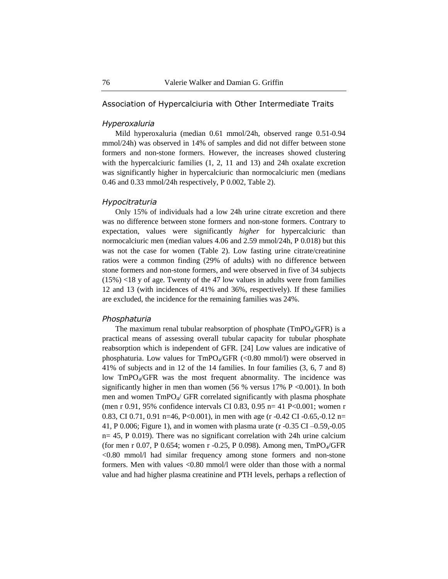### Association of Hypercalciuria with Other Intermediate Traits

### *Hyperoxaluria*

Mild hyperoxaluria (median 0.61 mmol/24h, observed range 0.51-0.94 mmol/24h) was observed in 14% of samples and did not differ between stone formers and non-stone formers. However, the increases showed clustering with the hypercalciuric families  $(1, 2, 11, 11)$  and 13) and 24h oxalate excretion was significantly higher in hypercalciuric than normocalciuric men (medians 0.46 and 0.33 mmol/24h respectively, P 0.002, Table 2).

#### *Hypocitraturia*

Only 15% of individuals had a low 24h urine citrate excretion and there was no difference between stone formers and non-stone formers. Contrary to expectation, values were significantly *higher* for hypercalciuric than normocalciuric men (median values 4.06 and 2.59 mmol/24h, P 0.018) but this was not the case for women (Table 2). Low fasting urine citrate/creatinine ratios were a common finding (29% of adults) with no difference between stone formers and non-stone formers, and were observed in five of 34 subjects (15%) <18 y of age. Twenty of the 47 low values in adults were from families 12 and 13 (with incidences of 41% and 36%, respectively). If these families are excluded, the incidence for the remaining families was 24%.

### *Phosphaturia*

The maximum renal tubular reabsorption of phosphate ( $\text{TmPO}_{4}/\text{GFR}$ ) is a practical means of assessing overall tubular capacity for tubular phosphate reabsorption which is independent of GFR. [24] Low values are indicative of phosphaturia. Low values for  $TmPO_4/GFR$  (<0.80 mmol/l) were observed in 41% of subjects and in 12 of the 14 families. In four families (3, 6, 7 and 8) low TmPO<sub>4</sub>/GFR was the most frequent abnormality. The incidence was significantly higher in men than women (56 % versus  $17\%$  P <0.001). In both men and women  $TmPO_4$  GFR correlated significantly with plasma phosphate (men r 0.91, 95% confidence intervals CI 0.83, 0.95 n= 41 P<0.001; women r 0.83, CI 0.71, 0.91 n=46, P<0.001), in men with age (r -0.42 CI -0.65,-0.12 n= 41, P 0.006; Figure 1), and in women with plasma urate (r -0.35 CI –0.59,-0.05 n= 45, P 0.019). There was no significant correlation with 24h urine calcium (for men r 0.07, P 0.654; women r -0.25, P 0.098). Among men,  $TmPO<sub>4</sub>/GFR$  $\leq 0.80$  mmol/l had similar frequency among stone formers and non-stone formers. Men with values <0.80 mmol/l were older than those with a normal value and had higher plasma creatinine and PTH levels, perhaps a reflection of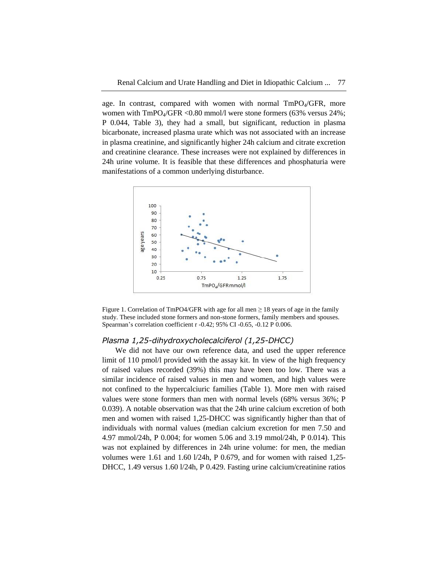age. In contrast, compared with women with normal  $TmPO<sub>4</sub>/GFR$ , more women with TmPO<sub>4</sub>/GFR <0.80 mmol/l were stone formers (63% versus 24%; P 0.044, Table 3), they had a small, but significant, reduction in plasma bicarbonate, increased plasma urate which was not associated with an increase in plasma creatinine, and significantly higher 24h calcium and citrate excretion and creatinine clearance. These increases were not explained by differences in 24h urine volume. It is feasible that these differences and phosphaturia were manifestations of a common underlying disturbance.





#### *Plasma 1,25-dihydroxycholecalciferol (1,25-DHCC)*

We did not have our own reference data, and used the upper reference limit of 110 pmol/l provided with the assay kit. In view of the high frequency of raised values recorded (39%) this may have been too low. There was a similar incidence of raised values in men and women, and high values were not confined to the hypercalciuric families (Table 1). More men with raised values were stone formers than men with normal levels (68% versus 36%; P 0.039). A notable observation was that the 24h urine calcium excretion of both men and women with raised 1,25-DHCC was significantly higher than that of individuals with normal values (median calcium excretion for men 7.50 and 4.97 mmol/24h, P 0.004; for women 5.06 and 3.19 mmol/24h, P 0.014). This was not explained by differences in 24h urine volume: for men, the median volumes were 1.61 and 1.60 l/24h, P 0.679, and for women with raised 1,25- DHCC, 1.49 versus 1.60 l/24h, P 0.429. Fasting urine calcium/creatinine ratios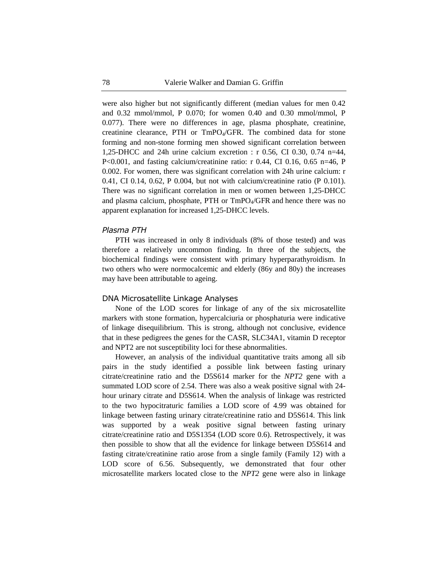were also higher but not significantly different (median values for men 0.42 and 0.32 mmol/mmol, P 0.070; for women 0.40 and 0.30 mmol/mmol, P 0.077). There were no differences in age, plasma phosphate, creatinine, creatinine clearance, PTH or TmPO4/GFR. The combined data for stone forming and non-stone forming men showed significant correlation between 1,25-DHCC and 24h urine calcium excretion : r 0.56, CI 0.30, 0.74 n=44, P<0.001, and fasting calcium/creatinine ratio: r 0.44, CI 0.16, 0.65 n=46, P 0.002. For women, there was significant correlation with 24h urine calcium: r 0.41, CI 0.14, 0.62, P 0.004, but not with calcium/creatinine ratio (P 0.101). There was no significant correlation in men or women between 1,25-DHCC and plasma calcium, phosphate, PTH or TmPO4/GFR and hence there was no apparent explanation for increased 1,25-DHCC levels.

#### *Plasma PTH*

PTH was increased in only 8 individuals (8% of those tested) and was therefore a relatively uncommon finding. In three of the subjects, the biochemical findings were consistent with primary hyperparathyroidism. In two others who were normocalcemic and elderly (86y and 80y) the increases may have been attributable to ageing.

### DNA Microsatellite Linkage Analyses

None of the LOD scores for linkage of any of the six microsatellite markers with stone formation, hypercalciuria or phosphaturia were indicative of linkage disequilibrium. This is strong, although not conclusive, evidence that in these pedigrees the genes for the CASR, SLC34A1, vitamin D receptor and NPT2 are not susceptibility loci for these abnormalities.

However, an analysis of the individual quantitative traits among all sib pairs in the study identified a possible link between fasting urinary citrate/creatinine ratio and the D5S614 marker for the *NPT2* gene with a summated LOD score of 2.54. There was also a weak positive signal with 24 hour urinary citrate and D5S614. When the analysis of linkage was restricted to the two hypocitraturic families a LOD score of 4.99 was obtained for linkage between fasting urinary citrate/creatinine ratio and D5S614. This link was supported by a weak positive signal between fasting urinary citrate/creatinine ratio and D5S1354 (LOD score 0.6). Retrospectively, it was then possible to show that all the evidence for linkage between D5S614 and fasting citrate/creatinine ratio arose from a single family (Family 12) with a LOD score of 6.56. Subsequently, we demonstrated that four other microsatellite markers located close to the *NPT2* gene were also in linkage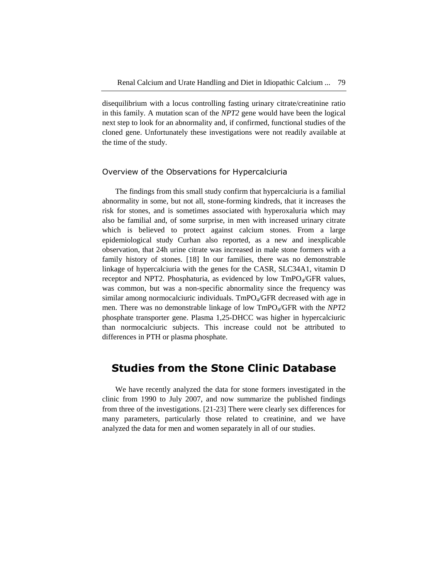disequilibrium with a locus controlling fasting urinary citrate/creatinine ratio in this family. A mutation scan of the *NPT2* gene would have been the logical next step to look for an abnormality and, if confirmed, functional studies of the cloned gene. Unfortunately these investigations were not readily available at the time of the study.

### Overview of the Observations for Hypercalciuria

The findings from this small study confirm that hypercalciuria is a familial abnormality in some, but not all, stone-forming kindreds, that it increases the risk for stones, and is sometimes associated with hyperoxaluria which may also be familial and, of some surprise, in men with increased urinary citrate which is believed to protect against calcium stones. From a large epidemiological study Curhan also reported, as a new and inexplicable observation, that 24h urine citrate was increased in male stone formers with a family history of stones. [18] In our families, there was no demonstrable linkage of hypercalciuria with the genes for the CASR, SLC34A1, vitamin D receptor and NPT2. Phosphaturia, as evidenced by low TmPO<sub>4</sub>/GFR values, was common, but was a non-specific abnormality since the frequency was similar among normocalciuric individuals. TmPO<sub>4</sub>/GFR decreased with age in men. There was no demonstrable linkage of low TmPO4/GFR with the *NPT2* phosphate transporter gene. Plasma 1,25-DHCC was higher in hypercalciuric than normocalciuric subjects. This increase could not be attributed to differences in PTH or plasma phosphate.

# **Studies from the Stone Clinic Database**

We have recently analyzed the data for stone formers investigated in the clinic from 1990 to July 2007, and now summarize the published findings from three of the investigations. [21-23] There were clearly sex differences for many parameters, particularly those related to creatinine, and we have analyzed the data for men and women separately in all of our studies.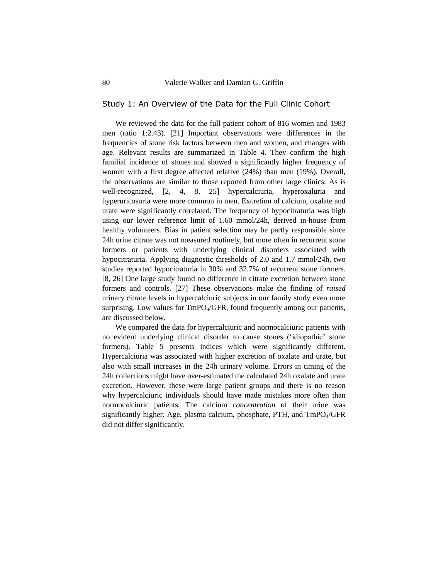### Study 1: An Overview of the Data for the Full Clinic Cohort

We reviewed the data for the full patient cohort of 816 women and 1983 men (ratio 1:2.43). [21] Important observations were differences in the frequencies of stone risk factors between men and women, and changes with age. Relevant results are summarized in Table 4. They confirm the high familial incidence of stones and showed a significantly higher frequency of women with a first degree affected relative (24%) than men (19%). Overall, the observations are similar to those reported from other large clinics. As is well-recognized, [2, 4, 8, 25] hypercalciuria, hyperoxaluria and hyperuricosuria were more common in men. Excretion of calcium, oxalate and urate were significantly correlated. The frequency of hypocitraturia was high using our lower reference limit of 1.60 mmol/24h, derived in-house from healthy volunteers. Bias in patient selection may be partly responsible since 24h urine citrate was not measured routinely, but more often in recurrent stone formers or patients with underlying clinical disorders associated with hypocitraturia. Applying diagnostic thresholds of 2.0 and 1.7 mmol/24h, two studies reported hypocitraturia in 30% and 32.7% of recurrent stone formers. [8, 26] One large study found no difference in citrate excretion between stone formers and controls. [27] These observations make the finding of *raised* urinary citrate levels in hypercalciuric subjects in our family study even more surprising. Low values for  $TmPO_4/GFR$ , found frequently among our patients, are discussed below.

We compared the data for hypercalciuric and normocalciuric patients with no evident underlying clinical disorder to cause stones (‗idiopathic' stone formers). Table 5 presents indices which were significantly different. Hypercalciuria was associated with higher excretion of oxalate and urate, but also with small increases in the 24h urinary volume. Errors in timing of the 24h collections might have over-estimated the calculated 24h oxalate and urate excretion. However, these were large patient groups and there is no reason why hypercalciuric individuals should have made mistakes more often than normocalciuric patients. The calcium *concentration* of their urine was significantly higher. Age, plasma calcium, phosphate, PTH, and  $TmPO<sub>4</sub>/GFR$ did not differ significantly.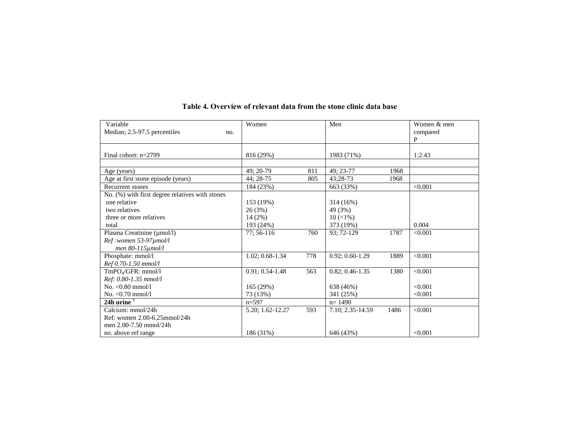| Variable                                        | Women             |     | Men                 |      | Women & men  |
|-------------------------------------------------|-------------------|-----|---------------------|------|--------------|
| Median; 2.5-97.5 percentiles<br>no.             |                   |     |                     |      | compared     |
|                                                 |                   |     |                     |      | $\mathbf{P}$ |
|                                                 |                   |     |                     |      |              |
| Final cohort: $n=2799$                          | 816 (29%)         |     | 1983 (71%)          |      | 1:2.43       |
|                                                 |                   |     |                     |      |              |
| Age (years)                                     | 49: 20-79         | 811 | 49; 23-77           | 1968 |              |
| Age at first stone episode (years)              | 44; 28-75         | 805 | 43:28-73            | 1968 |              |
| <b>Recurrent stones</b>                         | 184 (23%)         |     | 663 (33%)           |      | < 0.001      |
| No. (%) with first degree relatives with stones |                   |     |                     |      |              |
| one relative                                    | 153 (19%)         |     | 314 (16%)           |      |              |
| two relatives                                   | 26 (3%)           |     | 49 (3%)             |      |              |
| three or more relatives                         | 14(2%)            |     | $10 \, (\leq 1\%)$  |      |              |
| total                                           | 193 (24%)         |     | 373 (19%)           |      | 0.004        |
| Plasma Creatinine (µmol/l)                      | 77; 56-116        | 760 | 93; 72-129          | 1787 | < 0.001      |
| Ref:women 53-97µmol/l                           |                   |     |                     |      |              |
| men 80-115 $\mu$ mol/l                          |                   |     |                     |      |              |
| Phosphate: mmol/l                               | 1.02; 0.68-1.34   | 778 | $0.92; 0.60-1.29$   | 1889 | < 0.001      |
| Ref 0.70-1.50 mmol/l                            |                   |     |                     |      |              |
| TmPO <sub>4</sub> /GFR: mmol/l                  | $0.91; 0.54-1.48$ | 563 | $0.82; 0.46 - 1.35$ | 1380 | < 0.001      |
| Ref: 0.80-1.35 mmol/l                           |                   |     |                     |      |              |
| No. < 0.80 mmol/l                               | 165(29%)          |     | 638 (46%)           |      | < 0.001      |
| $No. < 0.70$ mmol/l                             | 73 (13%)          |     | 341 (25%)           |      | < 0.001      |
| 24h urine $†$                                   | $n = 597$         |     | $n = 1490$          |      |              |
| Calcium: mmol/24h                               | 5.20; 1.62-12.27  | 593 | 7.10; 2.35-14.59    | 1486 | < 0.001      |
| Ref: women 2.00-6.25mmol/24h                    |                   |     |                     |      |              |
| men 2.00-7.50 mmol/24h                          |                   |     |                     |      |              |
| no. above ref range                             | 186 (31%)         |     | 646 (43%)           |      | < 0.001      |

# **Table 4. Overview of relevant data from the stone clinic data base**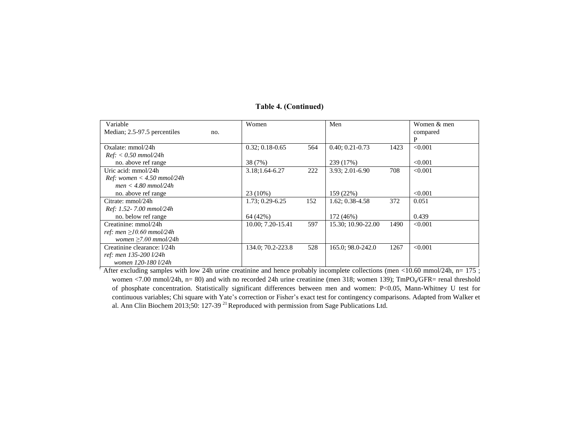# **Table 4. (Continued)**

| Variable                            | Women               |     | Men                 |      | Women & men |
|-------------------------------------|---------------------|-----|---------------------|------|-------------|
| Median; 2.5-97.5 percentiles<br>no. |                     |     |                     |      | compared    |
|                                     |                     |     |                     |      | P           |
| $Ox$ alate: mmol $/24h$             | $0.32; 0.18 - 0.65$ | 564 | $0.40; 0.21 - 0.73$ | 1423 | < 0.001     |
| $Ref: < 0.50 \, \text{mmol}/24h$    |                     |     |                     |      |             |
| no. above ref range                 | 38 (7%)             |     | 239 (17%)           |      | < 0.001     |
| Uric acid: mmol/24h                 | 3.18;1.64-6.27      | 222 | $3.93; 2.01 - 6.90$ | 708  | < 0.001     |
| Ref: women $<$ 4.50 mmol/24h        |                     |     |                     |      |             |
| $men < 4.80 \, mmol/24h$            |                     |     |                     |      |             |
| no. above ref range                 | 23 (10%)            |     | 159 (22%)           |      | < 0.001     |
| Citrate: mmol/24h                   | $1.73; 0.29 - 6.25$ | 152 | $1.62; 0.38 - 4.58$ | 372  | 0.051       |
| Ref: 1.52-7.00 mmol/24h             |                     |     |                     |      |             |
| no. below ref range                 | 64 (42%)            |     | 172 (46%)           |      | 0.439       |
| Creatinine: mmol/24h                | 10.00; 7.20-15.41   | 597 | 15.30; 10.90-22.00  | 1490 | < 0.001     |
| ref: men $\geq$ 10.60 mmol/24h      |                     |     |                     |      |             |
| women $\geq 7.00$ mmol/24h          |                     |     |                     |      |             |
| Creatinine clearance: 1/24h         | 134.0; 70.2-223.8   | 528 | 165.0; 98.0-242.0   | 1267 | < 0.001     |
| ref: men 135-200 l/24h              |                     |     |                     |      |             |
| women 120-180 l/24h                 |                     |     |                     |      |             |

 $^{\dagger}$  After excluding samples with low 24h urine creatinine and hence probably incomplete collections (men <10.60 mmol/24h, n= 175 ; women <7.00 mmol/24h, n= 80) and with no recorded 24h urine creatinine (men 318; women 139); TmPO<sub>4</sub>/GFR= renal threshold of phosphate concentration. Statistically significant differences between men and women: P<0.05, Mann-Whitney U test for continuous variables; Chi square with Yate's correction or Fisher's exact test for contingency comparisons. Adapted from Walker et al. Ann Clin Biochem 2013;50: 127-39<sup>21</sup> Reproduced with permission from Sage Publications Ltd.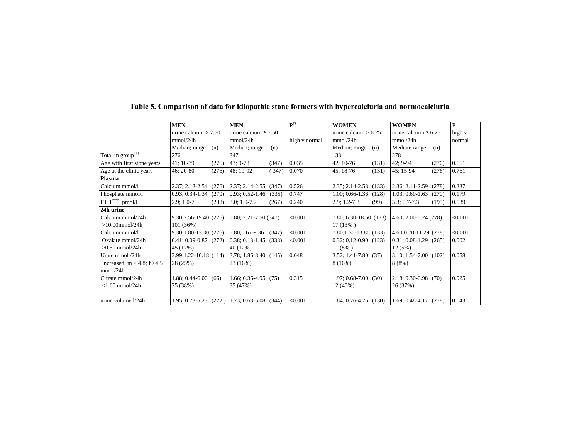|                                      | <b>MEN</b>                                         | <b>MEN</b>                                  | $P^{\dagger\dagger}$ | <b>WOMEN</b>                 | <b>WOMEN</b>               | P       |
|--------------------------------------|----------------------------------------------------|---------------------------------------------|----------------------|------------------------------|----------------------------|---------|
|                                      | urine calcium $> 7.50$                             | urine calcium $\leq 7.50$                   |                      | urine calcium $> 6.25$       | urine calcium $\leq 6.25$  | high v  |
|                                      | mmol/24h                                           | mmol/24h                                    | high v normal        | mmol/24h                     | mmol/24h                   | normal  |
|                                      | Median; range <sup><math>\uparrow</math></sup> (n) | Median; range<br>(n)                        |                      | Median; range<br>(n)         | Median; range<br>(n)       |         |
| Total in group <sup>†††</sup>        | 276                                                | 347                                         |                      | 133                          | 278                        |         |
| Age with first stone years           | 41: 10-79<br>(276)                                 | 43: 9-78<br>(347)                           | 0.035                | 42; 10-76<br>(131)           | $42:9-94$<br>(276)         | 0.661   |
| Age at the clinic years              | 46; 20-80<br>(276)                                 | 48; 19-92<br>(347)                          | 0.070                | 45; 18-76<br>(131)           | 45; 15-94<br>(276)         | 0.761   |
| Plasma                               |                                                    |                                             |                      |                              |                            |         |
| Calcium mmol/l                       | 2.37; 2.13-2.54<br>(276)                           | 2.37; 2.14-2.55<br>(347)                    | 0.526                | $2.35; 2.14 - 2.53$<br>(133) | 2.36; 2.11-2.59<br>(278)   | 0.237   |
| Phosphate mmol/l                     | $0.93; 0.34-1.34$<br>(270)                         | $0.93; 0.52-1.46$<br>(335)                  | 0.747                | $1.00; 0.66-1.36$<br>(128)   | $1.03; 0.60-1.63$<br>(270) | 0.179   |
| $PTH^{\dagger\dagger\dagger}$ pmol/l | $2.9:1.0-7.3$<br>(208)                             | $3.0; 1.0-7.2$<br>(267)                     | 0.240                | $2.9:1.2-7.3$<br>(99)        | $3.3:0.7 - 7.3$<br>(195)   | 0.539   |
| 24h urine                            |                                                    |                                             |                      |                              |                            |         |
| Calcium mmol/24h                     | 9.30;7.56-19.40 (276) 5.80; 2.21-7.50 (347)        |                                             | < 0.001              | 7.80; 6.30-18.60 (133)       | 4.60; 2.00-6.24 (278)      | < 0.001 |
| $>10.00$ mmol/24h                    | 101(36%)                                           |                                             |                      | $17(13\%)$                   |                            |         |
| Calcium mmol/l                       | $9.30;1.80-13.30(276)$                             | 5.80;0.67-9.36<br>(347)                     | < 0.001              | 7.80;1.50-13.86 (133)        | 4.60;0.70-11.29 (278)      | < 0.001 |
| Oxalate mmol/24h                     | $0.41; 0.09 - 0.87$ (272)                          | $0.38; 0.13-1.45$ (338)                     | < 0.001              | $0.32; 0.12 - 0.90$ (123)    | $0.31; 0.08-1.29$ (265)    | 0.002   |
| $>0.50$ mmol/24h                     | 45 (17%)                                           | 40 (12%)                                    |                      | $11(8\%)$                    | 12(5%)                     |         |
| Urate mmol /24h                      | $3.99;1.22-10.18(114)$                             | $\vert 3.78; 1.86-8.40 \vert (145) \vert$   | 0.048                | $3.52; 1.41 - 7.80$ (37)     | $3.10; 1.54-7.00$ (102)    | 0.058   |
| Increased: $m > 4.8$ ; f $>4.5$      | 28 (25%)                                           | 23 (16%)                                    |                      | 8 (16%)                      | $8(8\%)$                   |         |
| mmol/24h                             |                                                    |                                             |                      |                              |                            |         |
| Citrate mmol/24h                     | $1.88; 0.44-6.00(66)$                              | $1.66; 0.36-4.95$ (75)                      | 0.315                | 1.97: 0.68-7.00<br>(30)      | $2.18; 0.30 - 6.98$ (70)   | 0.925   |
| $<$ 1.60 mmol/24h                    | 25 (38%)                                           | 35 (47%)                                    |                      | 12 (40%)                     | 26 (37%)                   |         |
|                                      |                                                    |                                             |                      |                              |                            |         |
| urine volume l/24h                   |                                                    | 1.95; 0.73-5.23 (272) 1.73; 0.63-5.08 (344) | < 0.001              | $1.84; 0.76-4.75$ (130)      | $1.69; 0.48 - 4.17$ (278)  | 0.043   |

# **Table 5. Comparison of data for idiopathic stone formers with hypercalciuria and normocalciuria**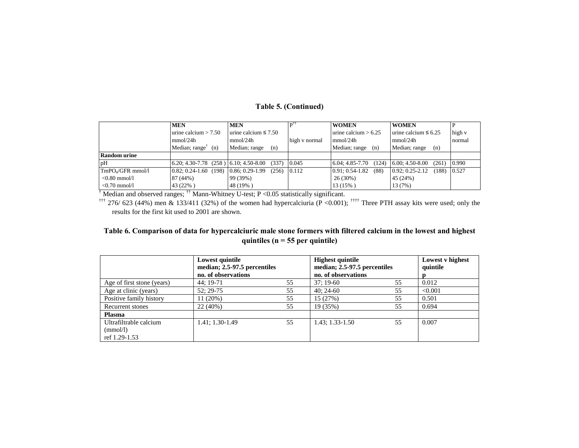### **Table 5. (Continued)**

|                               | <b>MEN</b>                                         | <b>MEN</b>                | pĦ            | <b>WOMEN</b>                 | <b>WOMEN</b>                 |        |
|-------------------------------|----------------------------------------------------|---------------------------|---------------|------------------------------|------------------------------|--------|
|                               | urine calcium $> 7.50$                             | urine calcium $\leq 7.50$ |               | urine calcium $> 6.25$       | urine calcium $\leq 6.25$    | high v |
|                               | mmol/24h                                           | mmol/24h                  | high v normal | mmol/24h                     | mmol/24h                     | normal |
|                               | Median; range <sup><math>\uparrow</math></sup> (n) | Median; range<br>(n)      |               | Median; range<br>(n)         | Median; range<br>(n)         |        |
| <b>Random urine</b>           |                                                    |                           |               |                              |                              |        |
| pH                            | $(6.20; 4.30-7.78; (258)   6.10; 4.50-8.00)$       | (337)                     | 0.045         | $6.04; 4.85 - 7.70$<br>(124) | $6.00; 4.50-8.00$<br>(261)   | 0.990  |
| TmPO <sub>4</sub> /GFR mmol/1 | $0.82: 0.24-1.60$ (198)                            | $0.86:0.29-1.99$<br>(256) | 0.112         | $0.91: 0.54-1.82$<br>(88)    | $0.92: 0.25 - 2.12$<br>(188) | 0.527  |
| $< 0.80$ mmol/l               | 87 (44%)                                           | 99 (39%)                  |               | 26(30%)                      | 45 (24%)                     |        |
| $< 0.70$ mmol/l               | 43 (22%)                                           | 48 (19%)                  |               | 13 (15%)                     | 13 (7%)                      |        |

<sup>†</sup> Median and observed ranges; <sup>††</sup> Mann-Whitney U-test; P < 0.05 statistically significant.

<sup>†††</sup> 276/ 623 (44%) men & 133/411 (32%) of the women had hypercalciuria (P <0.001); <sup>††††</sup> Three PTH assay kits were used; only the results for the first kit used to 2001 are shown.

### Table 6. Comparison of data for hypercalciuric male stone formers with filtered calcium in the lowest and highest **quintiles (n = 55 per quintile)**

|                                                     | Lowest quintile<br>median; 2.5-97.5 percentiles<br>no. of observations |    | <b>Highest quintile</b><br>median; 2.5-97.5 percentiles<br>no. of observations |    | Lowest v highest<br>quintile |
|-----------------------------------------------------|------------------------------------------------------------------------|----|--------------------------------------------------------------------------------|----|------------------------------|
| Age of first stone (years)                          | 44; 19-71                                                              | 55 | $37:19-60$                                                                     | 55 | 0.012                        |
| Age at clinic (years)                               | 52: 29-75                                                              | 55 | $40:24-60$                                                                     | 55 | < 0.001                      |
| Positive family history                             | 11 (20%)                                                               | 55 | 15 (27%)                                                                       | 55 | 0.501                        |
| Recurrent stones                                    | 22 (40%)                                                               | 55 | 19 (35%)                                                                       | 55 | 0.694                        |
| <b>Plasma</b>                                       |                                                                        |    |                                                                                |    |                              |
| Ultrafiltrable calcium<br>(mmol/l)<br>ref 1.29-1.53 | 1.41; 1.30-1.49                                                        | 55 | $1.43; 1.33-1.50$                                                              | 55 | 0.007                        |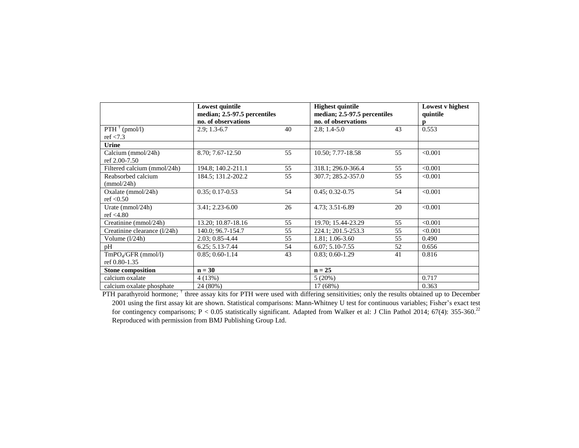|                                         | Lowest quintile<br>median; 2.5-97.5 percentiles<br>no. of observations |    | <b>Highest quintile</b><br>median; 2.5-97.5 percentiles<br>no. of observations |    | Lowest v highest<br>quintile<br>p |
|-----------------------------------------|------------------------------------------------------------------------|----|--------------------------------------------------------------------------------|----|-----------------------------------|
| $PTH^{\dagger}$ (pmol/l)<br>ref $< 7.3$ | $2.9; 1.3-6.7$                                                         | 40 | $2.8$ ; 1.4-5.0                                                                | 43 | 0.553                             |
| <b>Urine</b>                            |                                                                        |    |                                                                                |    |                                   |
| Calcium (mmol/24h)<br>ref 2.00-7.50     | 8.70; 7.67-12.50                                                       | 55 | 10.50; 7.77-18.58                                                              | 55 | < 0.001                           |
| Filtered calcium (mmol/24h)             | 194.8; 140.2-211.1                                                     | 55 | 318.1; 296.0-366.4                                                             | 55 | < 0.001                           |
| Reabsorbed calcium<br>(mmol/24h)        | 184.5; 131.2-202.2                                                     | 55 | 307.7; 285.2-357.0                                                             | 55 | < 0.001                           |
| Oxalate (mmol/24h)<br>ref $\leq 0.50$   | $0.35; 0.17 - 0.53$                                                    | 54 | $0.45; 0.32 - 0.75$                                                            | 54 | < 0.001                           |
| Urate ( $mmol/24h$ )<br>ref < 4.80      | 3.41; 2.23-6.00                                                        | 26 | 4.73; 3.51-6.89                                                                | 20 | < 0.001                           |
| Creatinine (mmol/24h)                   | 13.20; 10.87-18.16                                                     | 55 | 19.70; 15.44-23.29                                                             | 55 | < 0.001                           |
| Creatinine clearance (1/24h)            | 140.0; 96.7-154.7                                                      | 55 | 224.1; 201.5-253.3                                                             | 55 | < 0.001                           |
| Volume (1/24h)                          | 2.03; 0.85-4.44                                                        | 55 | 1.81; 1.06-3.60                                                                | 55 | 0.490                             |
| pH                                      | $6.25; 5.13 - 7.44$                                                    | 54 | $6.07; 5.10 - 7.55$                                                            | 52 | 0.656                             |
| $TmPOA/GFR$ (mmol/l)<br>ref 0.80-1.35   | $0.85; 0.60-1.14$                                                      | 43 | $0.83; 0.60-1.29$                                                              | 41 | 0.816                             |
| <b>Stone composition</b>                | $n = 30$                                                               |    | $n = 25$                                                                       |    |                                   |
| calcium oxalate                         | 4(13%)                                                                 |    | 5(20%)                                                                         |    | 0.717                             |
| calcium oxalate phosphate               | 24 (80%)                                                               |    | 17 (68%)                                                                       |    | 0.363                             |

PTH parathyroid hormone; <sup>†</sup> three assay kits for PTH were used with differing sensitivities; only the results obtained up to December 2001 using the first assay kit are shown. Statistical comparisons: Mann-Whitney U test for continuous variables; Fisher's exact test for contingency comparisons; P < 0.05 statistically significant. Adapted from Walker et al: J Clin Pathol 2014; 67(4): 355-360.<sup>22</sup> Reproduced with permission from BMJ Publishing Group Ltd.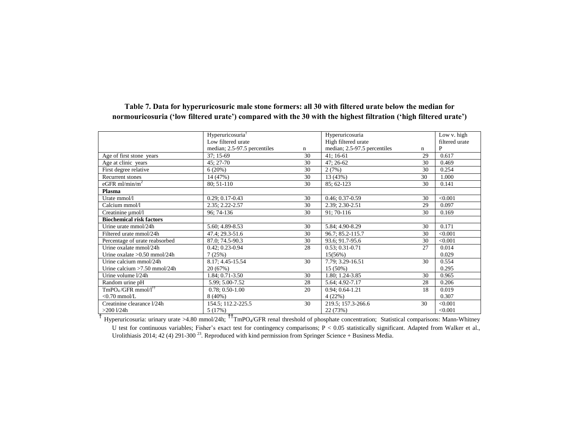|                                 | Hyperuricosuria <sup>†</sup> |    | Hyperuricosuria              |    | Low v. high    |
|---------------------------------|------------------------------|----|------------------------------|----|----------------|
|                                 | Low filtered urate           |    | High filtered urate          |    | filtered urate |
|                                 | median; 2.5-97.5 percentiles | n  | median; 2.5-97.5 percentiles | n  | P              |
| Age of first stone years        | $37; 15-69$                  | 30 | 41; 16-61                    | 29 | 0.617          |
| Age at clinic years             | 45; 27-70                    | 30 | $47:26-62$                   | 30 | 0.469          |
| First degree relative           | 6(20%)                       | 30 | 2(7%)                        | 30 | 0.254          |
| Recurrent stones                | 14 (47%)                     | 30 | 13 (43%)                     | 30 | 1.000          |
| eGFR ml/min/m <sup>2</sup>      | 80; 51-110                   | 30 | 85; 62-123                   | 30 | 0.141          |
| Plasma                          |                              |    |                              |    |                |
| Urate mmol/l                    | $0.29; 0.17 - 0.43$          | 30 | $0.46; 0.37-0.59$            | 30 | < 0.001        |
| Calcium mmol/l                  | 2.35; 2.22-2.57              | 30 | $2.39; 2.30 - 2.51$          | 29 | 0.097          |
| Creatinine µmol/l               | 96; 74-136                   | 30 | 91; 70-116                   | 30 | 0.169          |
| <b>Biochemical risk factors</b> |                              |    |                              |    |                |
| Urine urate mmol/24h            | 5.60; 4.89-8.53              | 30 | 5.84; 4.90-8.29              | 30 | 0.171          |
| Filtered urate mmol/24h         | 47.4; 29.3-51.6              | 30 | 96.7: 85.2-115.7             | 30 | < 0.001        |
| Percentage of urate reabsorbed  | 87.0; 74.5-90.3              | 30 | 93.6; 91.7-95.6              | 30 | < 0.001        |
| Urine oxalate mmol/24h          | $0.42; 0.23 - 0.94$          | 28 | $0.53; 0.31 - 0.71$          | 27 | 0.014          |
| Urine oxalate $>0.50$ mmol/24h  | 7(25%)                       |    | 15(56%)                      |    | 0.029          |
| Urine calcium mmol/24h          | 8.17; 4.45-15.54             | 30 | 7.79; 3.29-16.51             | 30 | 0.554          |
| Urine calcium $>7.50$ mmol/24h  | 20(67%)                      |    | 15 (50%)                     |    | 0.295          |
| Urine volume 1/24h              | 1.84; 0.71-3.50              | 30 | 1.80; 1.24-3.85              | 30 | 0.965          |
| Random urine pH                 | 5.99; 5.00-7.52              | 28 | 5.64; 4.92-7.17              | 28 | 0.206          |
| $TmPO4/GFR mmol/l††$            | $0.78; 0.50-1.00$            | 20 | $0.94; 0.64-1.21$            | 18 | 0.019          |
| $<$ 0.70 mmol/L                 | $8(40\%)$                    |    | 4(22%)                       |    | 0.307          |
| Creatinine clearance 1/24h      | 154.5; 112.2-225.5           | 30 | 219.5; 157.3-266.6           | 30 | < 0.001        |
| $>200$ l/24h                    | 5(17%)                       |    | 22 (73%)                     |    | < 0.001        |

### **Table 7. Data for hyperuricosuric male stone formers: all 30 with filtered urate below the median for normouricosuria ('low filtered urate') compared with the 30 with the highest filtration ('high filtered urate')**

<sup>†</sup> Hyperuricosuria: urinary urate >4.80 mmol/24h; <sup>††</sup>TmPO<sub>4</sub>/GFR renal threshold of phosphate concentration; Statistical comparisons: Mann-Whitney U test for continuous variables; Fisher's exact test for contingency comparisons; P < 0.05 statistically significant. Adapted from Walker et al., Urolithiasis 2014; 42 (4) 291-300<sup>23</sup>. Reproduced with kind permission from Springer Science + Business Media.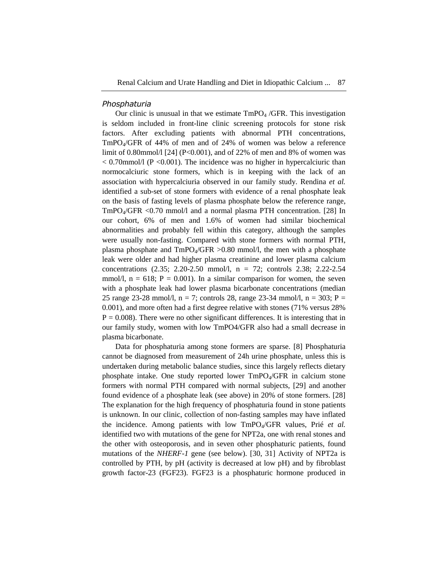#### *Phosphaturia*

Our clinic is unusual in that we estimate  $TmPO<sub>4</sub> / GFR$ . This investigation is seldom included in front-line clinic screening protocols for stone risk factors. After excluding patients with abnormal PTH concentrations, TmPO4/GFR of 44% of men and of 24% of women was below a reference limit of 0.80mmol/l [24] (P<0.001), and of 22% of men and 8% of women was  $< 0.70$ mmol/l (P $< 0.001$ ). The incidence was no higher in hypercalciuric than normocalciuric stone formers, which is in keeping with the lack of an association with hypercalciuria observed in our family study. Rendina *et al.* identified a sub-set of stone formers with evidence of a renal phosphate leak on the basis of fasting levels of plasma phosphate below the reference range, TmPO4/GFR <0.70 mmol/l and a normal plasma PTH concentration. [28] In our cohort, 6% of men and 1.6% of women had similar biochemical abnormalities and probably fell within this category, although the samples were usually non-fasting. Compared with stone formers with normal PTH, plasma phosphate and  $TmPO_4/GFR > 0.80$  mmol/l, the men with a phosphate leak were older and had higher plasma creatinine and lower plasma calcium concentrations (2.35; 2.20-2.50 mmol/l, n = 72; controls 2.38; 2.22-2.54 mmol/l,  $n = 618$ ;  $P = 0.001$ ). In a similar comparison for women, the seven with a phosphate leak had lower plasma bicarbonate concentrations (median 25 range 23-28 mmol/l,  $n = 7$ ; controls 28, range 23-34 mmol/l,  $n = 303$ ; P = 0.001), and more often had a first degree relative with stones (71% versus 28%  $P = 0.008$ ). There were no other significant differences. It is interesting that in our family study, women with low TmPO4/GFR also had a small decrease in plasma bicarbonate.

Data for phosphaturia among stone formers are sparse. [8] Phosphaturia cannot be diagnosed from measurement of 24h urine phosphate, unless this is undertaken during metabolic balance studies, since this largely reflects dietary phosphate intake. One study reported lower TmPO4/GFR in calcium stone formers with normal PTH compared with normal subjects, [29] and another found evidence of a phosphate leak (see above) in 20% of stone formers. [28] The explanation for the high frequency of phosphaturia found in stone patients is unknown. In our clinic, collection of non-fasting samples may have inflated the incidence. Among patients with low TmPO4/GFR values, Prié *et al.* identified two with mutations of the gene for NPT2a, one with renal stones and the other with osteoporosis, and in seven other phosphaturic patients, found mutations of the *NHERF-1* gene (see below). [30, 31] Activity of NPT2a is controlled by PTH, by pH (activity is decreased at low pH) and by fibroblast growth factor-23 (FGF23). FGF23 is a phosphaturic hormone produced in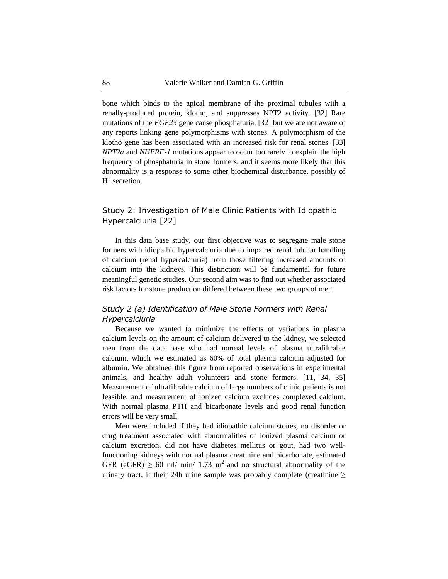bone which binds to the apical membrane of the proximal tubules with a renally-produced protein, klotho, and suppresses NPT2 activity. [32] Rare mutations of the *FGF23* gene cause phosphaturia, [32] but we are not aware of any reports linking gene polymorphisms with stones. A polymorphism of the klotho gene has been associated with an increased risk for renal stones. [33] *NPT2a* and *NHERF-1* mutations appear to occur too rarely to explain the high frequency of phosphaturia in stone formers, and it seems more likely that this abnormality is a response to some other biochemical disturbance, possibly of H<sup>+</sup> secretion.

### Study 2: Investigation of Male Clinic Patients with Idiopathic Hypercalciuria [22]

In this data base study, our first objective was to segregate male stone formers with idiopathic hypercalciuria due to impaired renal tubular handling of calcium (renal hypercalciuria) from those filtering increased amounts of calcium into the kidneys. This distinction will be fundamental for future meaningful genetic studies. Our second aim was to find out whether associated risk factors for stone production differed between these two groups of men.

### *Study 2 (a) Identification of Male Stone Formers with Renal Hypercalciuria*

Because we wanted to minimize the effects of variations in plasma calcium levels on the amount of calcium delivered to the kidney, we selected men from the data base who had normal levels of plasma ultrafiltrable calcium, which we estimated as 60% of total plasma calcium adjusted for albumin. We obtained this figure from reported observations in experimental animals, and healthy adult volunteers and stone formers. [11, 34, 35] Measurement of ultrafiltrable calcium of large numbers of clinic patients is not feasible, and measurement of ionized calcium excludes complexed calcium. With normal plasma PTH and bicarbonate levels and good renal function errors will be very small.

Men were included if they had idiopathic calcium stones, no disorder or drug treatment associated with abnormalities of ionized plasma calcium or calcium excretion, did not have diabetes mellitus or gout, had two wellfunctioning kidneys with normal plasma creatinine and bicarbonate, estimated GFR (eGFR)  $\geq 60$  ml/ min/ 1.73 m<sup>2</sup> and no structural abnormality of the urinary tract, if their 24h urine sample was probably complete (creatinine  $\geq$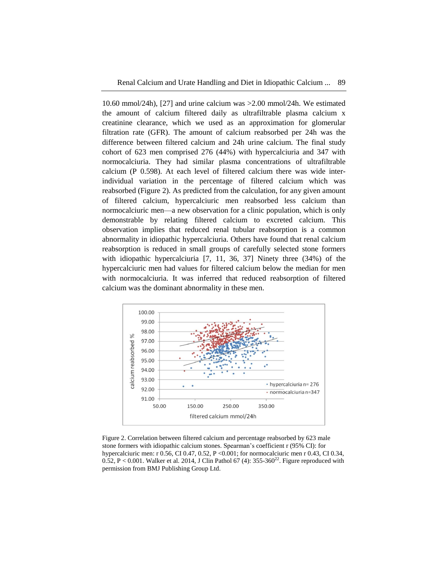10.60 mmol/24h), [27] and urine calcium was >2.00 mmol/24h. We estimated the amount of calcium filtered daily as ultrafiltrable plasma calcium x creatinine clearance, which we used as an approximation for glomerular filtration rate (GFR). The amount of calcium reabsorbed per 24h was the difference between filtered calcium and 24h urine calcium. The final study cohort of 623 men comprised 276 (44%) with hypercalciuria and 347 with normocalciuria. They had similar plasma concentrations of ultrafiltrable calcium (P 0.598). At each level of filtered calcium there was wide interindividual variation in the percentage of filtered calcium which was reabsorbed (Figure 2). As predicted from the calculation, for any given amount of filtered calcium, hypercalciuric men reabsorbed less calcium than normocalciuric men—a new observation for a clinic population, which is only demonstrable by relating filtered calcium to excreted calcium. This observation implies that reduced renal tubular reabsorption is a common abnormality in idiopathic hypercalciuria. Others have found that renal calcium reabsorption is reduced in small groups of carefully selected stone formers with idiopathic hypercalciuria [7, 11, 36, 37] Ninety three (34%) of the hypercalciuric men had values for filtered calcium below the median for men with normocalciuria. It was inferred that reduced reabsorption of filtered calcium was the dominant abnormality in these men.



Figure 2. Correlation between filtered calcium and percentage reabsorbed by 623 male stone formers with idiopathic calcium stones. Spearman's coefficient r (95% CI): for hypercalciuric men: r 0.56, CI 0.47, 0.52, P <0.001; for normocalciuric men r 0.43, CI 0.34,  $0.52, P < 0.001$ . Walker et al. 2014, J Clin Pathol 67 (4): 355-360<sup>22</sup>. Figure reproduced with permission from BMJ Publishing Group Ltd.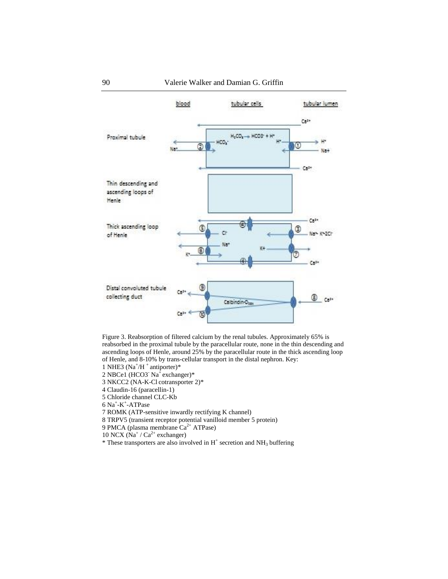

Figure 3. Reabsorption of filtered calcium by the renal tubules. Approximately 65% is reabsorbed in the proximal tubule by the paracellular route, none in the thin descending and ascending loops of Henle, around 25% by the paracellular route in the thick ascending loop of Henle, and 8-10% by trans-cellular transport in the distal nephron. Key:

- 1 NHE3 ( $Na^+/H^+$  antiporter)\*
- 2 NBCe1 (HCO3 Na<sup>+</sup> exchanger)\*
- 3 NKCC2 (NA-K-Cl cotransporter 2)\*
- 4 Claudin-16 (paracellin-1)
- 5 Chloride channel CLC-Kb
- 6 Na<sup>+</sup> -K + -ATPase
- 7 ROMK (ATP-sensitive inwardly rectifying K channel)
- 8 TRPV5 (transient receptor potential vanilloid member 5 protein)
- 9 PMCA (plasma membrane Ca<sup>2+</sup> ATPase)
- $10$  NCX (Na<sup>+</sup> / Ca<sup>2+</sup> exchanger)
- $*$  These transporters are also involved in H<sup>+</sup> secretion and NH<sub>3</sub> buffering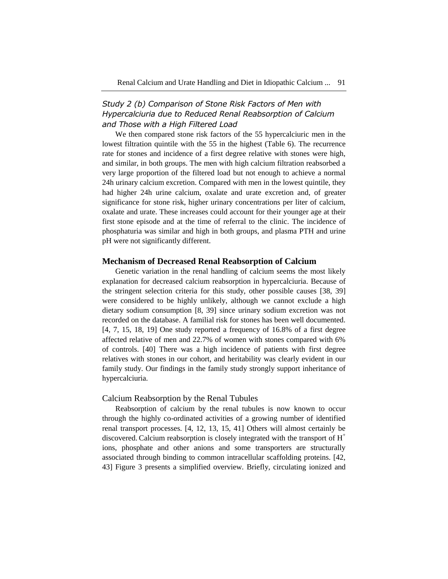## *Study 2 (b) Comparison of Stone Risk Factors of Men with Hypercalciuria due to Reduced Renal Reabsorption of Calcium and Those with a High Filtered Load*

We then compared stone risk factors of the 55 hypercalciuric men in the lowest filtration quintile with the 55 in the highest (Table 6). The recurrence rate for stones and incidence of a first degree relative with stones were high, and similar, in both groups. The men with high calcium filtration reabsorbed a very large proportion of the filtered load but not enough to achieve a normal 24h urinary calcium excretion. Compared with men in the lowest quintile, they had higher 24h urine calcium, oxalate and urate excretion and, of greater significance for stone risk, higher urinary concentrations per liter of calcium, oxalate and urate. These increases could account for their younger age at their first stone episode and at the time of referral to the clinic. The incidence of phosphaturia was similar and high in both groups, and plasma PTH and urine pH were not significantly different.

### **Mechanism of Decreased Renal Reabsorption of Calcium**

Genetic variation in the renal handling of calcium seems the most likely explanation for decreased calcium reabsorption in hypercalciuria. Because of the stringent selection criteria for this study, other possible causes [38, 39] were considered to be highly unlikely, although we cannot exclude a high dietary sodium consumption [8, 39] since urinary sodium excretion was not recorded on the database. A familial risk for stones has been well documented. [4, 7, 15, 18, 19] One study reported a frequency of 16.8% of a first degree affected relative of men and 22.7% of women with stones compared with 6% of controls. [40] There was a high incidence of patients with first degree relatives with stones in our cohort, and heritability was clearly evident in our family study. Our findings in the family study strongly support inheritance of hypercalciuria.

#### Calcium Reabsorption by the Renal Tubules

Reabsorption of calcium by the renal tubules is now known to occur through the highly co-ordinated activities of a growing number of identified renal transport processes. [4, 12, 13, 15, 41] Others will almost certainly be discovered. Calcium reabsorption is closely integrated with the transport of  $H^+$ ions, phosphate and other anions and some transporters are structurally associated through binding to common intracellular scaffolding proteins. [42, 43] Figure 3 presents a simplified overview. Briefly, circulating ionized and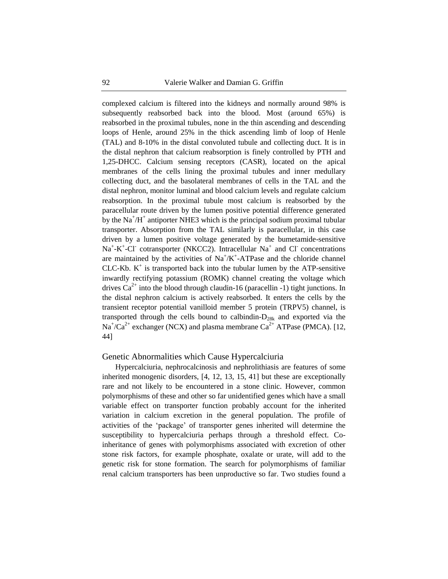complexed calcium is filtered into the kidneys and normally around 98% is subsequently reabsorbed back into the blood. Most (around 65%) is reabsorbed in the proximal tubules, none in the thin ascending and descending loops of Henle, around 25% in the thick ascending limb of loop of Henle (TAL) and 8-10% in the distal convoluted tubule and collecting duct. It is in the distal nephron that calcium reabsorption is finely controlled by PTH and 1,25-DHCC. Calcium sensing receptors (CASR), located on the apical membranes of the cells lining the proximal tubules and inner medullary collecting duct, and the basolateral membranes of cells in the TAL and the distal nephron, monitor luminal and blood calcium levels and regulate calcium reabsorption. In the proximal tubule most calcium is reabsorbed by the paracellular route driven by the lumen positive potential difference generated by the  $Na<sup>+</sup>/H<sup>+</sup>$  antiporter NHE3 which is the principal sodium proximal tubular transporter. Absorption from the TAL similarly is paracellular, in this case driven by a lumen positive voltage generated by the bumetamide-sensitive  $Na^+$ -K<sup>+</sup>-Cl<sup>-</sup> cotransporter (NKCC2). Intracellular  $Na^+$  and Cl<sup>-</sup> concentrations are maintained by the activities of  $Na^+/K^+$ -ATPase and the chloride channel  $CLC-Kb$ .  $K^{+}$  is transported back into the tubular lumen by the ATP-sensitive inwardly rectifying potassium (ROMK) channel creating the voltage which drives  $Ca^{2+}$  into the blood through claudin-16 (paracellin -1) tight junctions. In the distal nephron calcium is actively reabsorbed. It enters the cells by the transient receptor potential vanilloid member 5 protein (TRPV5) channel, is transported through the cells bound to calbindin- $D_{28k}$  and exported via the  $Na^{+}/Ca^{2+}$  exchanger (NCX) and plasma membrane  $Ca^{2+}$  ATPase (PMCA). [12, 44]

#### Genetic Abnormalities which Cause Hypercalciuria

Hypercalciuria, nephrocalcinosis and nephrolithiasis are features of some inherited monogenic disorders, [4, 12, 13, 15, 41] but these are exceptionally rare and not likely to be encountered in a stone clinic. However, common polymorphisms of these and other so far unidentified genes which have a small variable effect on transporter function probably account for the inherited variation in calcium excretion in the general population. The profile of activities of the 'package' of transporter genes inherited will determine the susceptibility to hypercalciuria perhaps through a threshold effect. Coinheritance of genes with polymorphisms associated with excretion of other stone risk factors, for example phosphate, oxalate or urate, will add to the genetic risk for stone formation. The search for polymorphisms of familiar renal calcium transporters has been unproductive so far. Two studies found a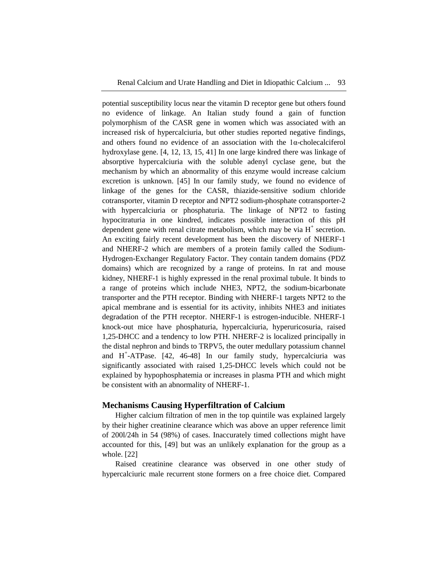potential susceptibility locus near the vitamin D receptor gene but others found no evidence of linkage. An Italian study found a gain of function polymorphism of the CASR gene in women which was associated with an increased risk of hypercalciuria, but other studies reported negative findings, and others found no evidence of an association with the 1α-cholecalciferol hydroxylase gene. [4, 12, 13, 15, 41] In one large kindred there was linkage of absorptive hypercalciuria with the soluble adenyl cyclase gene, but the mechanism by which an abnormality of this enzyme would increase calcium excretion is unknown. [45] In our family study, we found no evidence of linkage of the genes for the CASR, thiazide-sensitive sodium chloride cotransporter, vitamin D receptor and NPT2 sodium-phosphate cotransporter-2 with hypercalciuria or phosphaturia. The linkage of NPT2 to fasting hypocitraturia in one kindred, indicates possible interaction of this pH dependent gene with renal citrate metabolism, which may be via  $H^+$  secretion. An exciting fairly recent development has been the discovery of NHERF-1 and NHERF-2 which are members of a protein family called the Sodium-Hydrogen-Exchanger Regulatory Factor. They contain tandem domains (PDZ domains) which are recognized by a range of proteins. In rat and mouse kidney, NHERF-1 is highly expressed in the renal proximal tubule. It binds to a range of proteins which include NHE3, NPT2, the sodium-bicarbonate transporter and the PTH receptor. Binding with NHERF-1 targets NPT2 to the apical membrane and is essential for its activity, inhibits NHE3 and initiates degradation of the PTH receptor. NHERF-1 is estrogen-inducible. NHERF-1 knock-out mice have phosphaturia, hypercalciuria, hyperuricosuria, raised 1,25-DHCC and a tendency to low PTH. NHERF-2 is localized principally in the distal nephron and binds to TRPV5, the outer medullary potassium channel and H + -ATPase. [42, 46-48] In our family study, hypercalciuria was significantly associated with raised 1,25-DHCC levels which could not be explained by hypophosphatemia or increases in plasma PTH and which might be consistent with an abnormality of NHERF-1.

### **Mechanisms Causing Hyperfiltration of Calcium**

Higher calcium filtration of men in the top quintile was explained largely by their higher creatinine clearance which was above an upper reference limit of 200l/24h in 54 (98%) of cases. Inaccurately timed collections might have accounted for this, [49] but was an unlikely explanation for the group as a whole. [22]

Raised creatinine clearance was observed in one other study of hypercalciuric male recurrent stone formers on a free choice diet. Compared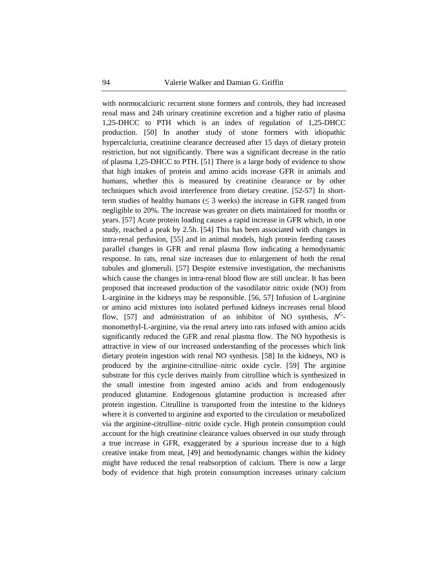with normocalciuric recurrent stone formers and controls, they had increased renal mass and 24h urinary creatinine excretion and a higher ratio of plasma 1,25-DHCC to PTH which is an index of regulation of 1,25-DHCC production. [50] In another study of stone formers with idiopathic hypercalciuria, creatinine clearance decreased after 15 days of dietary protein restriction, but not significantly. There was a significant decrease in the ratio of plasma 1,25-DHCC to PTH. [51] There is a large body of evidence to show that high intakes of protein and amino acids increase GFR in animals and humans, whether this is measured by creatinine clearance or by other techniques which avoid interference from dietary creatine. [52-57] In shortterm studies of healthy humans ( $\leq$  3 weeks) the increase in GFR ranged from negligible to 20%. The increase was greater on diets maintained for months or years. [57] Acute protein loading causes a rapid increase in GFR which, in one study, reached a peak by 2.5h. [54] This has been associated with changes in intra-renal perfusion, [55] and in animal models, high protein feeding causes parallel changes in GFR and renal plasma flow indicating a hemodynamic response. In rats, renal size increases due to enlargement of both the renal tubules and glomeruli. [57] Despite extensive investigation, the mechanisms which cause the changes in intra-renal blood flow are still unclear. It has been proposed that increased production of the vasodilator nitric oxide (NO) from L-arginine in the kidneys may be responsible. [56, 57] Infusion of L-arginine or amino acid mixtures into isolated perfused kidneys increases renal blood flow, [57] and administration of an inhibitor of NO synthesis,  $N^G$ monomethyl-L-arginine, via the renal artery into rats infused with amino acids significantly reduced the GFR and renal plasma flow. The NO hypothesis is attractive in view of our increased understanding of the processes which link dietary protein ingestion with renal NO synthesis. [58] In the kidneys, NO is produced by the arginine-citrulline–nitric oxide cycle. [59] The arginine substrate for this cycle derives mainly from citrulline which is synthesized in the small intestine from ingested amino acids and from endogenously produced glutamine. Endogenous glutamine production is increased after protein ingestion. Citrulline is transported from the intestine to the kidneys where it is converted to arginine and exported to the circulation or metabolized via the arginine-citrulline–nitric oxide cycle. High protein consumption could account for the high creatinine clearance values observed in our study through a true increase in GFR, exaggerated by a spurious increase due to a high creative intake from meat, [49] and hemodynamic changes within the kidney might have reduced the renal reabsorption of calcium. There is now a large body of evidence that high protein consumption increases urinary calcium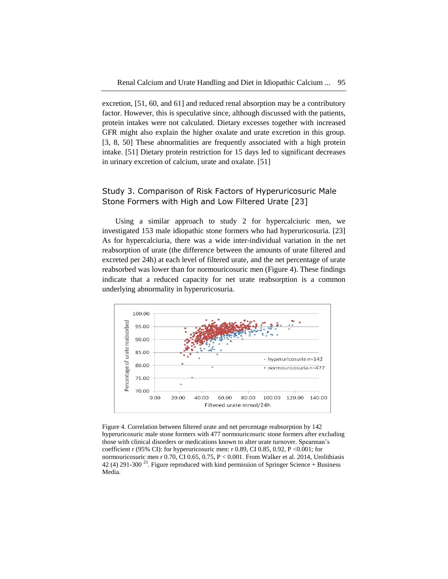excretion, [51, 60, and 61] and reduced renal absorption may be a contributory factor. However, this is speculative since, although discussed with the patients, protein intakes were not calculated. Dietary excesses together with increased GFR might also explain the higher oxalate and urate excretion in this group. [3, 8, 50] These abnormalities are frequently associated with a high protein intake. [51] Dietary protein restriction for 15 days led to significant decreases in urinary excretion of calcium, urate and oxalate. [51]

### Study 3. Comparison of Risk Factors of Hyperuricosuric Male Stone Formers with High and Low Filtered Urate [23]

Using a similar approach to study 2 for hypercalciuric men, we investigated 153 male idiopathic stone formers who had hyperuricosuria. [23] As for hypercalciuria, there was a wide inter-individual variation in the net reabsorption of urate (the difference between the amounts of urate filtered and excreted per 24h) at each level of filtered urate, and the net percentage of urate reabsorbed was lower than for normouricosuric men (Figure 4). These findings indicate that a reduced capacity for net urate reabsorption is a common underlying abnormality in hyperuricosuria.



Figure 4. Correlation between filtered urate and net percentage reabsorption by 142 hyperuricosuric male stone formers with 477 normouricosuric stone formers after excluding those with clinical disorders or medications known to alter urate turnover. Spearman's coefficient r (95% CI): for hyperuricosuric men: r 0.89, CI 0.85, 0.92, P <0.001; for normouricosuric men r 0.70, CI 0.65, 0.75, P < 0.001. From Walker et al. 2014, Urolithiasis 42 (4) 291-300<sup>23</sup>. Figure reproduced with kind permission of Springer Science + Business Media.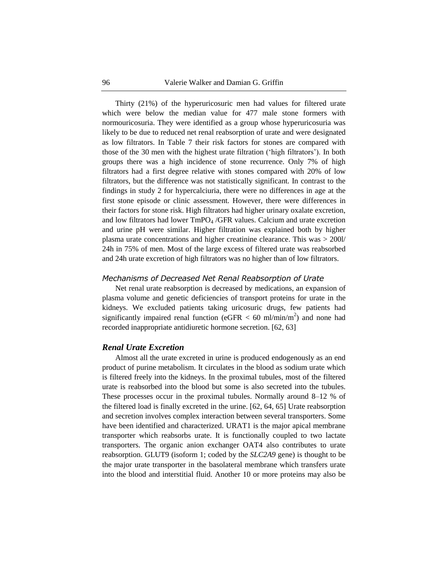Thirty (21%) of the hyperuricosuric men had values for filtered urate which were below the median value for 477 male stone formers with normouricosuria. They were identified as a group whose hyperuricosuria was likely to be due to reduced net renal reabsorption of urate and were designated as low filtrators. In Table 7 their risk factors for stones are compared with those of the 30 men with the highest urate filtration ('high filtrators'). In both groups there was a high incidence of stone recurrence. Only 7% of high filtrators had a first degree relative with stones compared with 20% of low filtrators, but the difference was not statistically significant. In contrast to the findings in study 2 for hypercalciuria, there were no differences in age at the first stone episode or clinic assessment. However, there were differences in their factors for stone risk. High filtrators had higher urinary oxalate excretion, and low filtrators had lower  $TmpO<sub>4</sub> / GFR$  values. Calcium and urate excretion and urine pH were similar. Higher filtration was explained both by higher plasma urate concentrations and higher creatinine clearance. This was > 200l/ 24h in 75% of men. Most of the large excess of filtered urate was reabsorbed and 24h urate excretion of high filtrators was no higher than of low filtrators.

### *Mechanisms of Decreased Net Renal Reabsorption of Urate*

Net renal urate reabsorption is decreased by medications, an expansion of plasma volume and genetic deficiencies of transport proteins for urate in the kidneys. We excluded patients taking uricosuric drugs, few patients had significantly impaired renal function (eGFR  $<$  60 ml/min/m<sup>2</sup>) and none had recorded inappropriate antidiuretic hormone secretion. [62, 63]

### *Renal Urate Excretion*

Almost all the urate excreted in urine is produced endogenously as an end product of purine metabolism. It circulates in the blood as sodium urate which is filtered freely into the kidneys. In the proximal tubules, most of the filtered urate is reabsorbed into the blood but some is also secreted into the tubules. These processes occur in the proximal tubules. Normally around 8–12 % of the filtered load is finally excreted in the urine. [62, 64, 65] Urate reabsorption and secretion involves complex interaction between several transporters. Some have been identified and characterized. URAT1 is the major apical membrane transporter which reabsorbs urate. It is functionally coupled to two lactate transporters. The organic anion exchanger OAT4 also contributes to urate reabsorption. GLUT9 (isoform 1; coded by the *SLC2A9* gene) is thought to be the major urate transporter in the basolateral membrane which transfers urate into the blood and interstitial fluid. Another 10 or more proteins may also be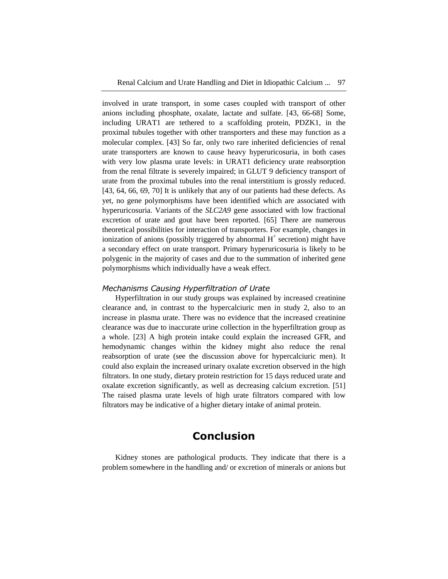involved in urate transport, in some cases coupled with transport of other anions including phosphate, oxalate, lactate and sulfate. [43, 66-68] Some, including URAT1 are tethered to a scaffolding protein, PDZK1, in the proximal tubules together with other transporters and these may function as a molecular complex. [43] So far, only two rare inherited deficiencies of renal urate transporters are known to cause heavy hyperuricosuria, in both cases with very low plasma urate levels: in URAT1 deficiency urate reabsorption from the renal filtrate is severely impaired; in GLUT 9 deficiency transport of urate from the proximal tubules into the renal interstitium is grossly reduced. [43, 64, 66, 69, 70] It is unlikely that any of our patients had these defects. As yet, no gene polymorphisms have been identified which are associated with hyperuricosuria. Variants of the *SLC2A9* gene associated with low fractional excretion of urate and gout have been reported. [65] There are numerous theoretical possibilities for interaction of transporters. For example, changes in ionization of anions (possibly triggered by abnormal  $H^+$  secretion) might have a secondary effect on urate transport. Primary hyperuricosuria is likely to be polygenic in the majority of cases and due to the summation of inherited gene polymorphisms which individually have a weak effect.

### *Mechanisms Causing Hyperfiltration of Urate*

Hyperfiltration in our study groups was explained by increased creatinine clearance and, in contrast to the hypercalciuric men in study 2, also to an increase in plasma urate. There was no evidence that the increased creatinine clearance was due to inaccurate urine collection in the hyperfiltration group as a whole. [23] A high protein intake could explain the increased GFR, and hemodynamic changes within the kidney might also reduce the renal reabsorption of urate (see the discussion above for hypercalciuric men). It could also explain the increased urinary oxalate excretion observed in the high filtrators. In one study, dietary protein restriction for 15 days reduced urate and oxalate excretion significantly, as well as decreasing calcium excretion. [51] The raised plasma urate levels of high urate filtrators compared with low filtrators may be indicative of a higher dietary intake of animal protein.

# **Conclusion**

Kidney stones are pathological products. They indicate that there is a problem somewhere in the handling and/ or excretion of minerals or anions but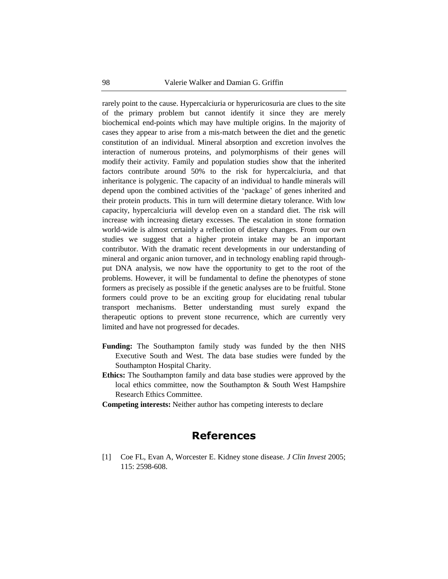rarely point to the cause. Hypercalciuria or hyperuricosuria are clues to the site of the primary problem but cannot identify it since they are merely biochemical end-points which may have multiple origins. In the majority of cases they appear to arise from a mis-match between the diet and the genetic constitution of an individual. Mineral absorption and excretion involves the interaction of numerous proteins, and polymorphisms of their genes will modify their activity. Family and population studies show that the inherited factors contribute around 50% to the risk for hypercalciuria, and that inheritance is polygenic. The capacity of an individual to handle minerals will depend upon the combined activities of the 'package' of genes inherited and their protein products. This in turn will determine dietary tolerance. With low capacity, hypercalciuria will develop even on a standard diet. The risk will increase with increasing dietary excesses. The escalation in stone formation world-wide is almost certainly a reflection of dietary changes. From our own studies we suggest that a higher protein intake may be an important contributor. With the dramatic recent developments in our understanding of mineral and organic anion turnover, and in technology enabling rapid throughput DNA analysis, we now have the opportunity to get to the root of the problems. However, it will be fundamental to define the phenotypes of stone formers as precisely as possible if the genetic analyses are to be fruitful. Stone formers could prove to be an exciting group for elucidating renal tubular transport mechanisms. Better understanding must surely expand the therapeutic options to prevent stone recurrence, which are currently very limited and have not progressed for decades.

- **Funding:** The Southampton family study was funded by the then NHS Executive South and West. The data base studies were funded by the Southampton Hospital Charity.
- **Ethics:** The Southampton family and data base studies were approved by the local ethics committee, now the Southampton & South West Hampshire Research Ethics Committee.
- **Competing interests:** Neither author has competing interests to declare

# **References**

[1] Coe FL, Evan A, Worcester E. Kidney stone disease. *J Clin Invest* 2005; 115: 2598-608.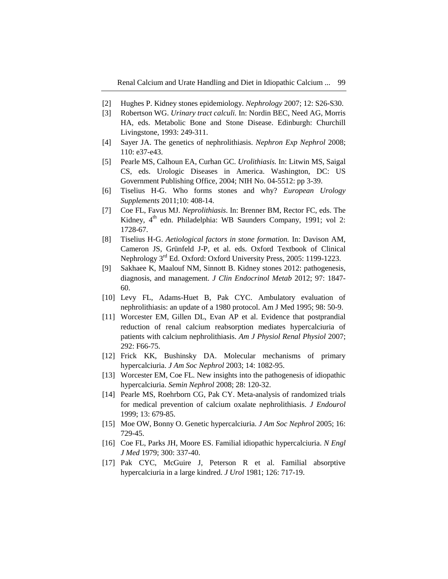- [2] Hughes P. Kidney stones epidemiology. *Nephrology* 2007; 12: S26-S30.
- [3] Robertson WG. *Urinary tract calculi.* In: Nordin BEC, Need AG, Morris HA, eds. Metabolic Bone and Stone Disease. Edinburgh: Churchill Livingstone, 1993: 249-311.
- [4] Sayer JA. The genetics of nephrolithiasis. *Nephron Exp Nephrol* 2008; 110: e37-e43.
- [5] Pearle MS, Calhoun EA, Curhan GC. *Urolithiasis.* In: Litwin MS, Saigal CS, eds. Urologic Diseases in America. Washington, DC: US Government Publishing Office, 2004; NIH No. 04-5512: pp 3-39.
- [6] Tiselius H-G. Who forms stones and why? *European Urology Supplements* 2011;10: 408-14.
- [7] Coe FL, Favus MJ. *Neprolithiasis*. In: Brenner BM, Rector FC, eds. The Kidney, 4<sup>th</sup> edn. Philadelphia: WB Saunders Company, 1991; vol 2: 1728-67.
- [8] Tiselius H-G. *Aetiological factors in stone formation.* In: Davison AM, Cameron JS, Grünfeld J-P, et al. eds. Oxford Textbook of Clinical Nephrology 3<sup>rd</sup> Ed. Oxford: Oxford University Press, 2005: 1199-1223.
- [9] Sakhaee K, Maalouf NM, Sinnott B. Kidney stones 2012: pathogenesis, diagnosis, and management. *J Clin Endocrinol Metab* 2012; 97: 1847- 60.
- [10] Levy FL, Adams-Huet B, Pak CYC. Ambulatory evaluation of nephrolithiasis: an update of a 1980 protocol. Am J Med 1995; 98: 50-9.
- [11] Worcester EM, Gillen DL, Evan AP et al. Evidence that postprandial reduction of renal calcium reabsorption mediates hypercalciuria of patients with calcium nephrolithiasis. *Am J Physiol Renal Physiol* 2007; 292: F66-75.
- [12] Frick KK, Bushinsky DA. Molecular mechanisms of primary hypercalciuria. *J Am Soc Nephrol* 2003; 14: 1082-95.
- [13] Worcester EM, Coe FL. New insights into the pathogenesis of idiopathic hypercalciuria. *Semin Nephrol* 2008; 28: 120-32.
- [14] Pearle MS, Roehrborn CG, Pak CY. Meta-analysis of randomized trials for medical prevention of calcium oxalate nephrolithiasis. *J Endourol* 1999; 13: 679-85.
- [15] Moe OW, Bonny O. Genetic hypercalciuria. *J Am Soc Nephrol* 2005; 16: 729-45.
- [16] Coe FL, Parks JH, Moore ES. Familial idiopathic hypercalciuria. *N Engl J Med* 1979; 300: 337-40.
- [17] Pak CYC, McGuire J, Peterson R et al. Familial absorptive hypercalciuria in a large kindred. *J Urol* 1981; 126: 717-19.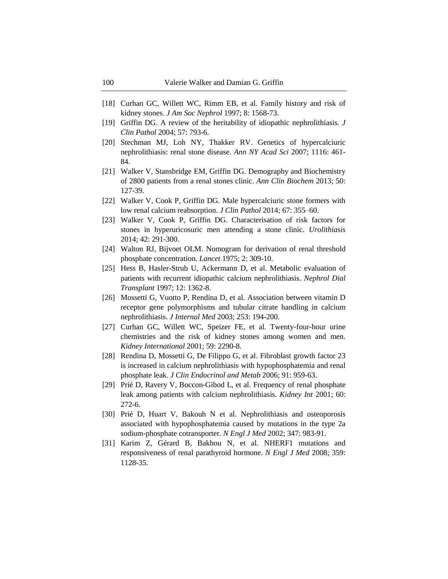- [18] Curhan GC, Willett WC, Rimm EB, et al. Family history and risk of kidney stones. *J Am Soc Nephrol* 1997; 8: 1568-73.
- [19] Griffin DG. A review of the heritability of idiopathic nephrolithiasis*. J Clin Pathol* 2004; 57: 793-6.
- [20] Stechman MJ, Loh NY, Thakker RV. Genetics of hypercalciuric nephrolithiasis: renal stone disease. *Ann NY Acad Sci* 2007; 1116: 461- 84.
- [21] Walker V, Stansbridge EM, Griffin DG. Demography and Biochemistry of 2800 patients from a renal stones clinic. *Ann Clin Biochem* 2013; 50: 127-39.
- [22] Walker V, Cook P, Griffin DG. Male hypercalciuric stone formers with low renal calcium reabsorption. *J Clin Pathol* 2014; 67: 355–60.
- [23] Walker V, Cook P, Griffin DG. Characterisation of risk factors for stones in hyperuricosuric men attending a stone clinic. *Urolithiasis* 2014; 42: 291-300.
- [24] Walton RJ, Bijvoet OLM. Nomogram for derivation of renal threshold phosphate concentration. *Lancet* 1975; 2: 309-10.
- [25] Hess B, Hasler-Strub U, Ackermann D, et al. Metabolic evaluation of patients with recurrent idiopathic calcium nephrolithiasis. *Nephrol Dial Transplant* 1997; 12: 1362-8.
- [26] Mossetti G, Vuotto P, Rendina D, et al. Association between vitamin D receptor gene polymorphisms and tubular citrate handling in calcium nephrolithiasis. *J Internal Med* 2003; 253: 194-200.
- [27] Curhan GC, Willett WC, Speizer FE, et al. Twenty-four-hour urine chemistries and the risk of kidney stones among women and men. *Kidney International* 2001; 59: 2290-8.
- [28] Rendina D, Mossetti G, De Filippo G, et al. Fibroblast growth factor 23 is increased in calcium nephrolithiasis with hypophosphatemia and renal phosphate leak. *J Clin Endocrinol and Metab* 2006; 91: 959-63.
- [29] Prié D, Ravery V, Boccon-Gibod L, et al. Frequency of renal phosphate leak among patients with calcium nephrolithiasis. *Kidney Int* 2001; 60: 272-6.
- [30] Prié D, Huart V, Bakouh N et al. Nephrolithiasis and osteoporosis associated with hypophosphatemia caused by mutations in the type 2a sodium-phosphate cotransporter. *N Engl J Med* 2002; 347: 983-91.
- [31] Karim Z, Gérard B, Bakhou N, et al. NHERF1 mutations and responsiveness of renal parathyroid hormone. *N Engl J Med* 2008; 359: 1128-35.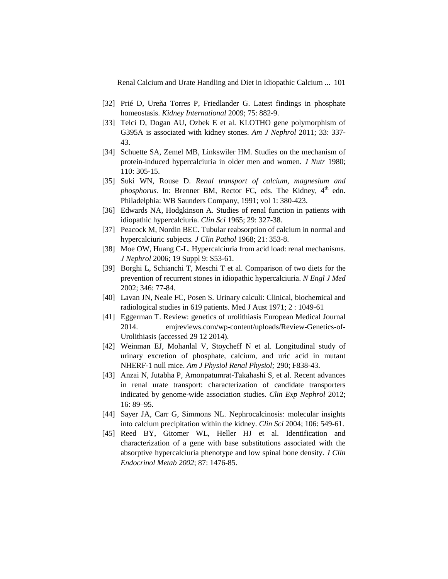- [32] Prié D, Ureña Torres P, Friedlander G. Latest findings in phosphate homeostasis. *Kidney International* 2009; 75: 882-9.
- [33] Telci D, Dogan AU, Ozbek E et al. KLOTHO gene polymorphism of G395A is associated with kidney stones. *Am J Nephrol* 2011; 33: 337- 43.
- [34] Schuette SA, Zemel MB, Linkswiler HM. Studies on the mechanism of protein-induced hypercalciuria in older men and women. *J Nutr* 1980; 110: 305-15.
- [35] Suki WN, Rouse D. *Renal transport of calcium, magnesium and* phosphorus. In: Brenner BM, Rector FC, eds. The Kidney, 4<sup>th</sup> edn. Philadelphia: WB Saunders Company, 1991; vol 1: 380-423.
- [36] Edwards NA, Hodgkinson A. Studies of renal function in patients with idiopathic hypercalciuria. *Clin Sci* 1965; 29: 327-38.
- [37] Peacock M, Nordin BEC. Tubular reabsorption of calcium in normal and hypercalciuric subjects*. J Clin Pathol* 1968; 21: 353-8.
- [38] Moe OW, Huang C-L. Hypercalciuria from acid load: renal mechanisms. *J Nephrol* 2006; 19 Suppl 9: S53-61.
- [39] Borghi L, Schianchi T, Meschi T et al. Comparison of two diets for the prevention of recurrent stones in idiopathic hypercalciuria. *N Engl J Med* 2002; 346: 77-84.
- [40] Lavan JN, Neale FC, Posen S. Urinary calculi: Clinical, biochemical and radiological studies in 619 patients. Med J Aust 1971; 2 : 1049-61
- [41] Eggerman T. Review: genetics of urolithiasis European Medical Journal 2014. emjreviews.com/wp-content/uploads/Review-Genetics-of-Urolithiasis (accessed 29 12 2014).
- [42] Weinman EJ, Mohanlal V, Stoycheff N et al. Longitudinal study of urinary excretion of phosphate, calcium, and uric acid in mutant NHERF-1 null mice. *Am J Physiol Renal Physiol;* 290; F838-43.
- [43] Anzai N, Jutabha P, Amonpatumrat-Takahashi S, et al. Recent advances in renal urate transport: characterization of candidate transporters indicated by genome-wide association studies. *Clin Exp Nephrol* 2012; 16: 89–95.
- [44] Sayer JA, Carr G, Simmons NL. Nephrocalcinosis: molecular insights into calcium precipitation within the kidney. *Clin Sci* 2004; 106: 549-61.
- [45] Reed BY, Gitomer WL, Heller HJ et al. Identification and characterization of a gene with base substitutions associated with the absorptive hypercalciuria phenotype and low spinal bone density. *J Clin Endocrinol Metab 2002*; 87: 1476-85.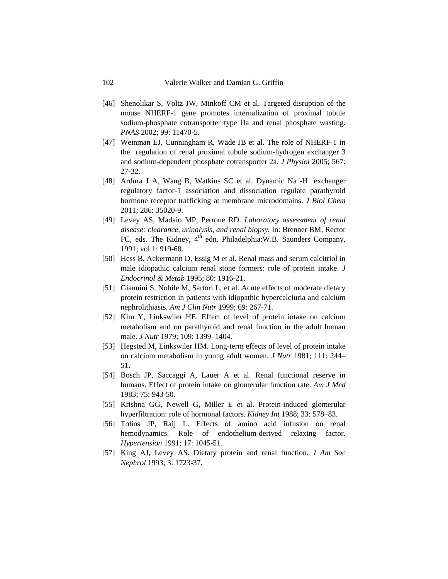- [46] Shenolikar S, Voltz JW, Minkoff CM et al. Targeted disruption of the mouse NHERF-1 gene promotes internalization of proximal tubule sodium-phosphate cotransporter type IIa and renal phosphate wasting. *PNAS* 2002; 99: 11470-5.
- [47] Weinman EJ, Cunningham R, Wade JB et al. The role of NHERF-1 in the regulation of renal proximal tubule sodium-hydrogen exchanger 3 and sodium-dependent phosphate cotransporter 2a. *J Physiol* 2005; 567: 27-32.
- [48] Ardura J A, Wang B, Watkins SC et al. Dynamic Na<sup>+</sup>-H<sup>+</sup> exchanger regulatory factor-1 association and dissociation regulate parathyroid hormone receptor trafficking at membrane microdomains. *J Biol Chem* 2011; 286: 35020-9.
- [49] Levey AS, Madaio MP, Perrone RD. *Laboratory assessment of renal disease: clearance, urinalysis, and renal biopsy.* In: Brenner BM, Rector FC, eds. The Kidney, 4<sup>th</sup> edn. Philadelphia:W.B. Saunders Company, 1991; vol 1: 919-68.
- [50] Hess B, Ackermann D, Essig M et al. Renal mass and serum calcitriol in male idiopathic calcium renal stone formers: role of protein intake. *J Endocrinol & Metab* 1995; 80: 1916-21.
- [51] Giannini S, Nobile M, Sartori L, et al. Acute effects of moderate dietary protein restriction in patients with idiopathic hypercalciuria and calcium nephrolithiasis. *Am J Clin Nutr* 1999; 69: 267-71.
- [52] Kim Y, Linkswiler HE. Effect of level of protein intake on calcium metabolism and on parathyroid and renal function in the adult human male. *J Nutr* 1979; 109: 1399–1404.
- [53] Hegsted M, Linkswiler HM. Long-term effects of level of protein intake on calcium metabolism in young adult women. *J Nutr* 1981; 111: 244– 51.
- [54] Bosch JP, Saccaggi A, Lauer A et al. Renal functional reserve in humans. Effect of protein intake on glomerular function rate. *Am J Med* 1983; 75: 943-50.
- [55] Krishna GG, Newell G, Miller E et al. Protein-induced glomerular hyperfiltration: role of hormonal factors. *Kidney Int* 1988; 33: 578–83.
- [56] Tolins JP, Raij L. Effects of amino acid infusion on renal hemodynamics. Role of endothelium-derived relaxing factor. *Hypertension* 1991; 17: 1045-51.
- [57] King AJ, Levey AS. Dietary protein and renal function. *J Am Soc Nephrol* 1993; 3: 1723-37.